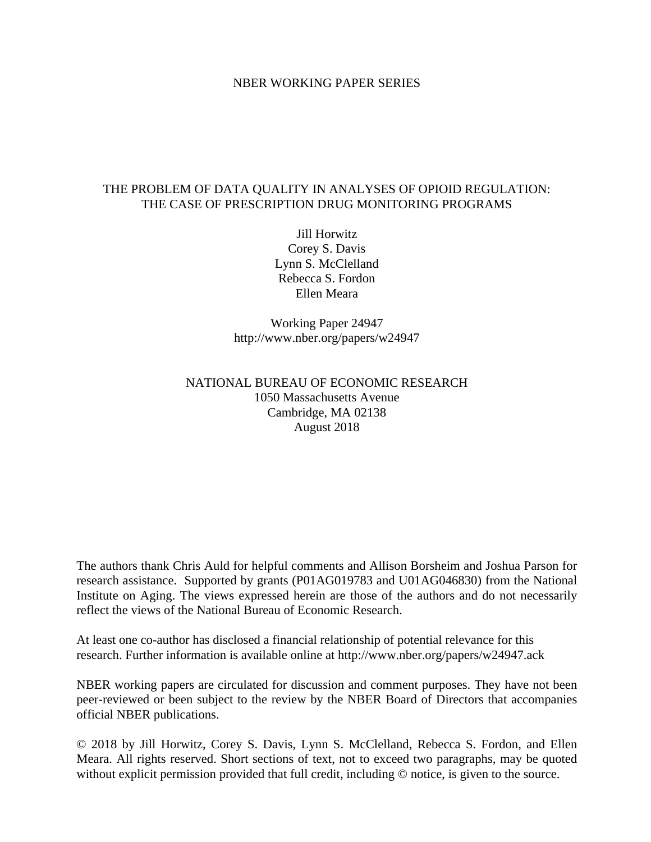# NBER WORKING PAPER SERIES

# THE PROBLEM OF DATA QUALITY IN ANALYSES OF OPIOID REGULATION: THE CASE OF PRESCRIPTION DRUG MONITORING PROGRAMS

Jill Horwitz Corey S. Davis Lynn S. McClelland Rebecca S. Fordon Ellen Meara

Working Paper 24947 http://www.nber.org/papers/w24947

# NATIONAL BUREAU OF ECONOMIC RESEARCH 1050 Massachusetts Avenue Cambridge, MA 02138 August 2018

The authors thank Chris Auld for helpful comments and Allison Borsheim and Joshua Parson for research assistance. Supported by grants (P01AG019783 and U01AG046830) from the National Institute on Aging. The views expressed herein are those of the authors and do not necessarily reflect the views of the National Bureau of Economic Research.

At least one co-author has disclosed a financial relationship of potential relevance for this research. Further information is available online at http://www.nber.org/papers/w24947.ack

NBER working papers are circulated for discussion and comment purposes. They have not been peer-reviewed or been subject to the review by the NBER Board of Directors that accompanies official NBER publications.

© 2018 by Jill Horwitz, Corey S. Davis, Lynn S. McClelland, Rebecca S. Fordon, and Ellen Meara. All rights reserved. Short sections of text, not to exceed two paragraphs, may be quoted without explicit permission provided that full credit, including  $\odot$  notice, is given to the source.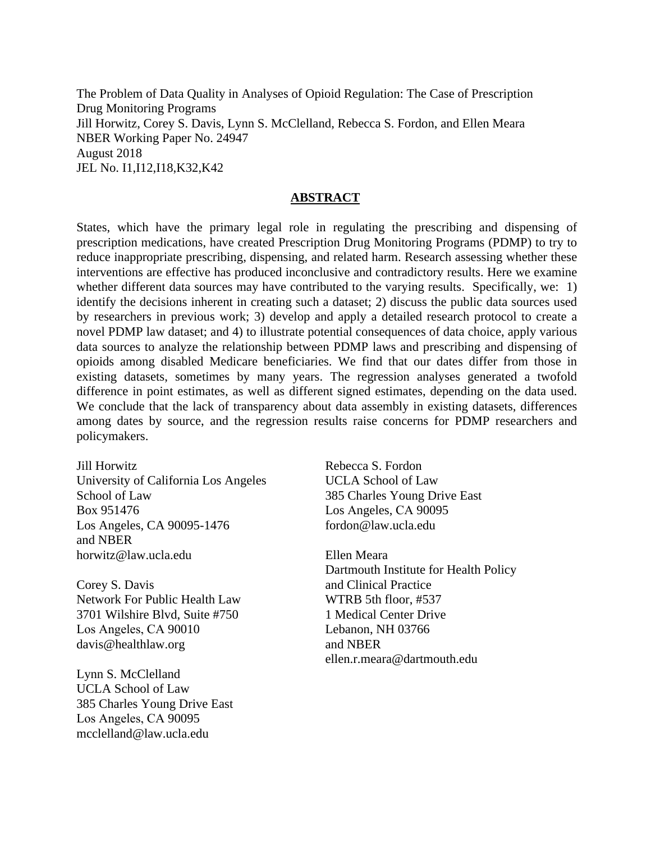The Problem of Data Quality in Analyses of Opioid Regulation: The Case of Prescription Drug Monitoring Programs Jill Horwitz, Corey S. Davis, Lynn S. McClelland, Rebecca S. Fordon, and Ellen Meara NBER Working Paper No. 24947 August 2018 JEL No. I1,I12,I18,K32,K42

# **ABSTRACT**

States, which have the primary legal role in regulating the prescribing and dispensing of prescription medications, have created Prescription Drug Monitoring Programs (PDMP) to try to reduce inappropriate prescribing, dispensing, and related harm. Research assessing whether these interventions are effective has produced inconclusive and contradictory results. Here we examine whether different data sources may have contributed to the varying results. Specifically, we: 1) identify the decisions inherent in creating such a dataset; 2) discuss the public data sources used by researchers in previous work; 3) develop and apply a detailed research protocol to create a novel PDMP law dataset; and 4) to illustrate potential consequences of data choice, apply various data sources to analyze the relationship between PDMP laws and prescribing and dispensing of opioids among disabled Medicare beneficiaries. We find that our dates differ from those in existing datasets, sometimes by many years. The regression analyses generated a twofold difference in point estimates, as well as different signed estimates, depending on the data used. We conclude that the lack of transparency about data assembly in existing datasets, differences among dates by source, and the regression results raise concerns for PDMP researchers and policymakers.

Jill Horwitz University of California Los Angeles School of Law Box 951476 Los Angeles, CA 90095-1476 and NBER horwitz@law.ucla.edu

Corey S. Davis Network For Public Health Law 3701 Wilshire Blvd, Suite #750 Los Angeles, CA 90010 davis@healthlaw.org

Lynn S. McClelland UCLA School of Law 385 Charles Young Drive East Los Angeles, CA 90095 mcclelland@law.ucla.edu

Rebecca S. Fordon UCLA School of Law 385 Charles Young Drive East Los Angeles, CA 90095 fordon@law.ucla.edu

Ellen Meara Dartmouth Institute for Health Policy and Clinical Practice WTRB 5th floor, #537 1 Medical Center Drive Lebanon, NH 03766 and NBER ellen.r.meara@dartmouth.edu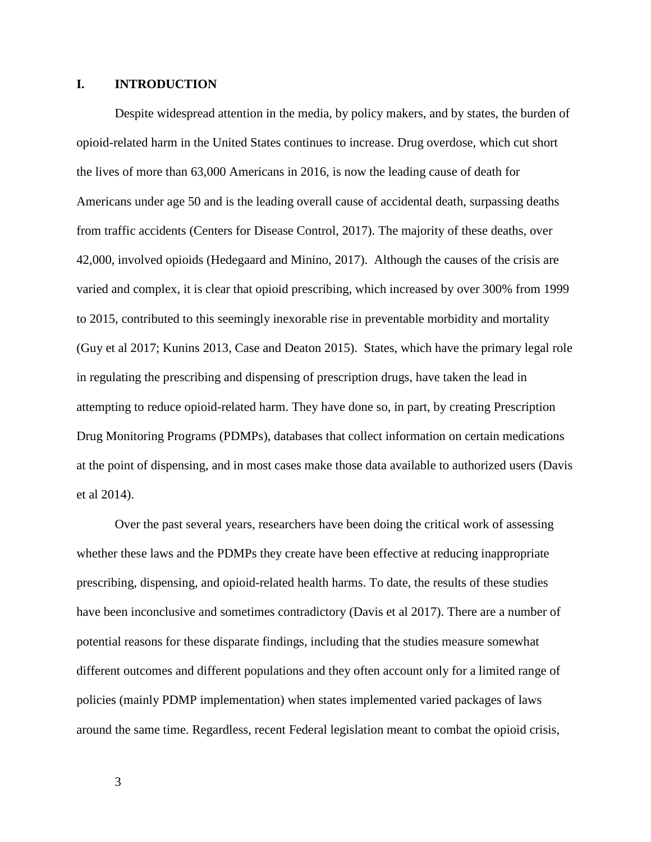# **I. INTRODUCTION**

Despite widespread attention in the media, by policy makers, and by states, the burden of opioid-related harm in the United States continues to increase. Drug overdose, which cut short the lives of more than 63,000 Americans in 2016, is now the leading cause of death for Americans under age 50 and is the leading overall cause of accidental death, surpassing deaths from traffic accidents (Centers for Disease Control, 2017). The majority of these deaths, over 42,000, involved opioids (Hedegaard and Minino, 2017). Although the causes of the crisis are varied and complex, it is clear that opioid prescribing, which increased by over 300% from 1999 to 2015, contributed to this seemingly inexorable rise in preventable morbidity and mortality (Guy et al 2017; Kunins 2013, Case and Deaton 2015). States, which have the primary legal role in regulating the prescribing and dispensing of prescription drugs, have taken the lead in attempting to reduce opioid-related harm. They have done so, in part, by creating Prescription Drug Monitoring Programs (PDMPs), databases that collect information on certain medications at the point of dispensing, and in most cases make those data available to authorized users (Davis et al 2014).

Over the past several years, researchers have been doing the critical work of assessing whether these laws and the PDMPs they create have been effective at reducing inappropriate prescribing, dispensing, and opioid-related health harms. To date, the results of these studies have been inconclusive and sometimes contradictory (Davis et al 2017). There are a number of potential reasons for these disparate findings, including that the studies measure somewhat different outcomes and different populations and they often account only for a limited range of policies (mainly PDMP implementation) when states implemented varied packages of laws around the same time. Regardless, recent Federal legislation meant to combat the opioid crisis,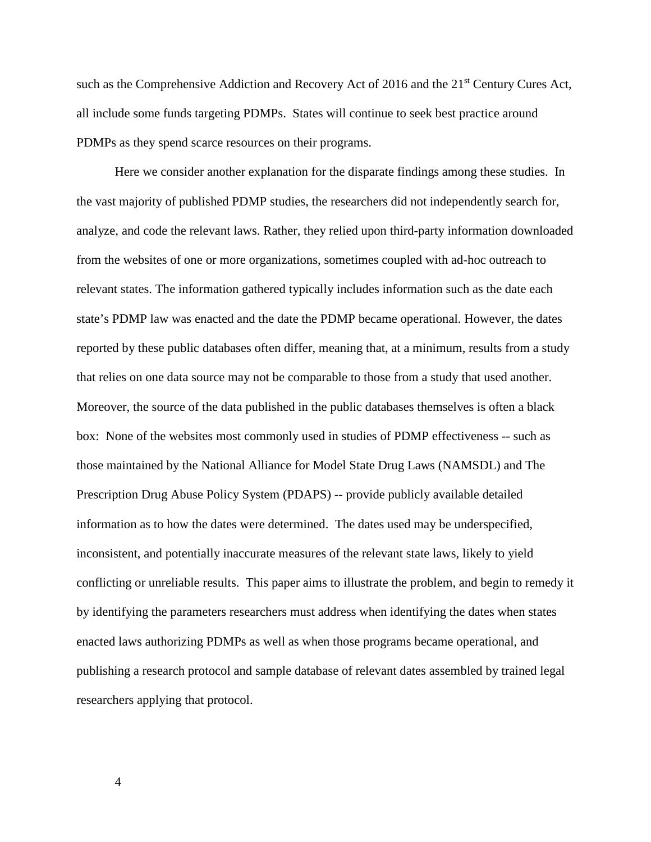such as the Comprehensive Addiction and Recovery Act of 2016 and the 21<sup>st</sup> Century Cures Act, all include some funds targeting PDMPs. States will continue to seek best practice around PDMPs as they spend scarce resources on their programs.

Here we consider another explanation for the disparate findings among these studies. In the vast majority of published PDMP studies, the researchers did not independently search for, analyze, and code the relevant laws. Rather, they relied upon third-party information downloaded from the websites of one or more organizations, sometimes coupled with ad-hoc outreach to relevant states. The information gathered typically includes information such as the date each state's PDMP law was enacted and the date the PDMP became operational. However, the dates reported by these public databases often differ, meaning that, at a minimum, results from a study that relies on one data source may not be comparable to those from a study that used another. Moreover, the source of the data published in the public databases themselves is often a black box: None of the websites most commonly used in studies of PDMP effectiveness -- such as those maintained by the National Alliance for Model State Drug Laws (NAMSDL) and The Prescription Drug Abuse Policy System (PDAPS) -- provide publicly available detailed information as to how the dates were determined. The dates used may be underspecified, inconsistent, and potentially inaccurate measures of the relevant state laws, likely to yield conflicting or unreliable results. This paper aims to illustrate the problem, and begin to remedy it by identifying the parameters researchers must address when identifying the dates when states enacted laws authorizing PDMPs as well as when those programs became operational, and publishing a research protocol and sample database of relevant dates assembled by trained legal researchers applying that protocol.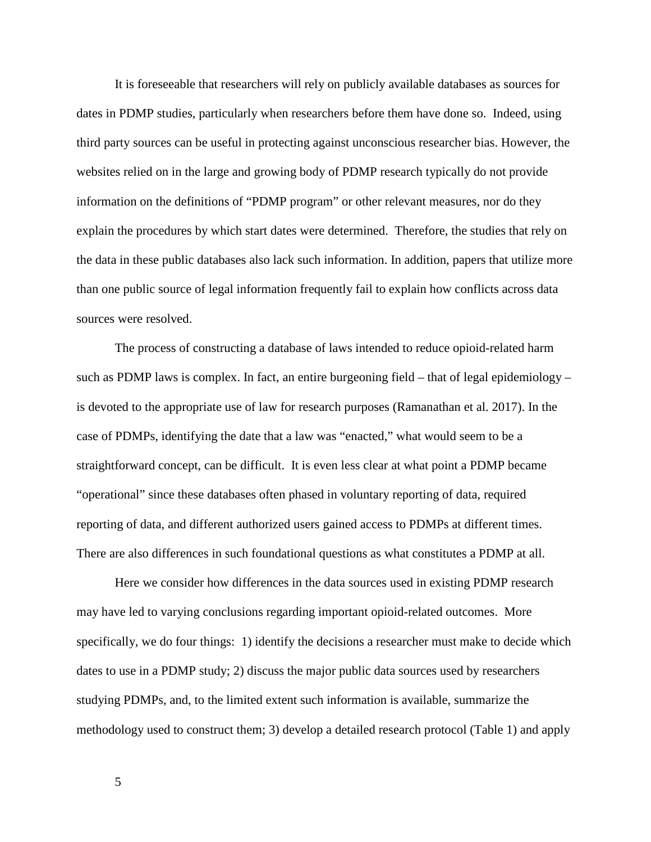It is foreseeable that researchers will rely on publicly available databases as sources for dates in PDMP studies, particularly when researchers before them have done so. Indeed, using third party sources can be useful in protecting against unconscious researcher bias. However, the websites relied on in the large and growing body of PDMP research typically do not provide information on the definitions of "PDMP program" or other relevant measures, nor do they explain the procedures by which start dates were determined. Therefore, the studies that rely on the data in these public databases also lack such information. In addition, papers that utilize more than one public source of legal information frequently fail to explain how conflicts across data sources were resolved.

The process of constructing a database of laws intended to reduce opioid-related harm such as PDMP laws is complex. In fact, an entire burgeoning field – that of legal epidemiology – is devoted to the appropriate use of law for research purposes (Ramanathan et al. 2017). In the case of PDMPs, identifying the date that a law was "enacted," what would seem to be a straightforward concept, can be difficult. It is even less clear at what point a PDMP became "operational" since these databases often phased in voluntary reporting of data, required reporting of data, and different authorized users gained access to PDMPs at different times. There are also differences in such foundational questions as what constitutes a PDMP at all.

Here we consider how differences in the data sources used in existing PDMP research may have led to varying conclusions regarding important opioid-related outcomes. More specifically, we do four things: 1) identify the decisions a researcher must make to decide which dates to use in a PDMP study; 2) discuss the major public data sources used by researchers studying PDMPs, and, to the limited extent such information is available, summarize the methodology used to construct them; 3) develop a detailed research protocol (Table 1) and apply

5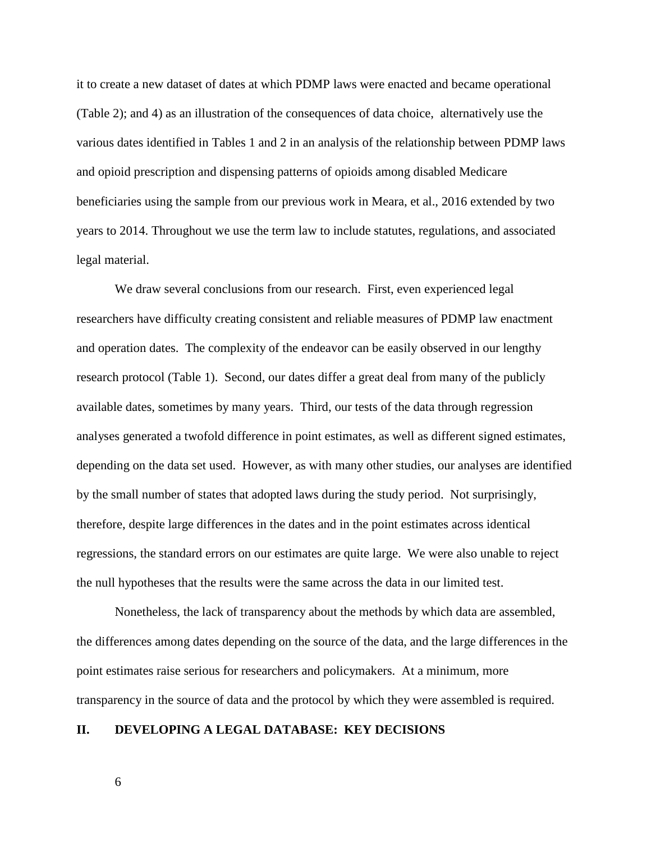it to create a new dataset of dates at which PDMP laws were enacted and became operational (Table 2); and 4) as an illustration of the consequences of data choice, alternatively use the various dates identified in Tables 1 and 2 in an analysis of the relationship between PDMP laws and opioid prescription and dispensing patterns of opioids among disabled Medicare beneficiaries using the sample from our previous work in Meara, et al., 2016 extended by two years to 2014. Throughout we use the term law to include statutes, regulations, and associated legal material.

We draw several conclusions from our research. First, even experienced legal researchers have difficulty creating consistent and reliable measures of PDMP law enactment and operation dates. The complexity of the endeavor can be easily observed in our lengthy research protocol (Table 1). Second, our dates differ a great deal from many of the publicly available dates, sometimes by many years. Third, our tests of the data through regression analyses generated a twofold difference in point estimates, as well as different signed estimates, depending on the data set used. However, as with many other studies, our analyses are identified by the small number of states that adopted laws during the study period. Not surprisingly, therefore, despite large differences in the dates and in the point estimates across identical regressions, the standard errors on our estimates are quite large. We were also unable to reject the null hypotheses that the results were the same across the data in our limited test.

Nonetheless, the lack of transparency about the methods by which data are assembled, the differences among dates depending on the source of the data, and the large differences in the point estimates raise serious for researchers and policymakers. At a minimum, more transparency in the source of data and the protocol by which they were assembled is required.

# **II. DEVELOPING A LEGAL DATABASE: KEY DECISIONS**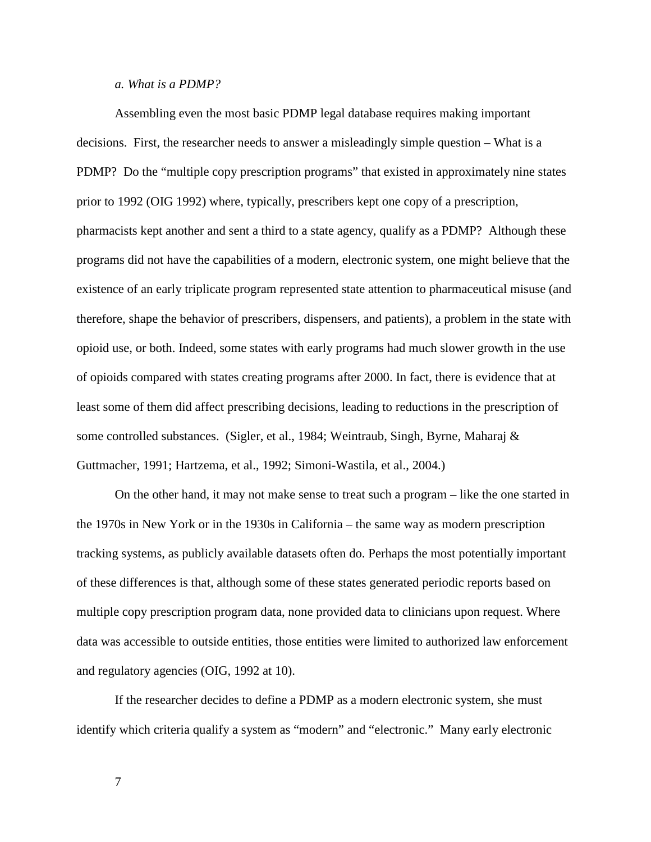#### *a. What is a PDMP?*

Assembling even the most basic PDMP legal database requires making important decisions. First, the researcher needs to answer a misleadingly simple question – What is a PDMP? Do the "multiple copy prescription programs" that existed in approximately nine states prior to 1992 (OIG 1992) where, typically, prescribers kept one copy of a prescription, pharmacists kept another and sent a third to a state agency, qualify as a PDMP? Although these programs did not have the capabilities of a modern, electronic system, one might believe that the existence of an early triplicate program represented state attention to pharmaceutical misuse (and therefore, shape the behavior of prescribers, dispensers, and patients), a problem in the state with opioid use, or both. Indeed, some states with early programs had much slower growth in the use of opioids compared with states creating programs after 2000. In fact, there is evidence that at least some of them did affect prescribing decisions, leading to reductions in the prescription of some controlled substances. (Sigler, et al., 1984; Weintraub, Singh, Byrne, Maharaj & Guttmacher, 1991; Hartzema, et al., 1992; Simoni-Wastila, et al., 2004.)

On the other hand, it may not make sense to treat such a program – like the one started in the 1970s in New York or in the 1930s in California – the same way as modern prescription tracking systems, as publicly available datasets often do. Perhaps the most potentially important of these differences is that, although some of these states generated periodic reports based on multiple copy prescription program data, none provided data to clinicians upon request. Where data was accessible to outside entities, those entities were limited to authorized law enforcement and regulatory agencies (OIG, 1992 at 10).

If the researcher decides to define a PDMP as a modern electronic system, she must identify which criteria qualify a system as "modern" and "electronic." Many early electronic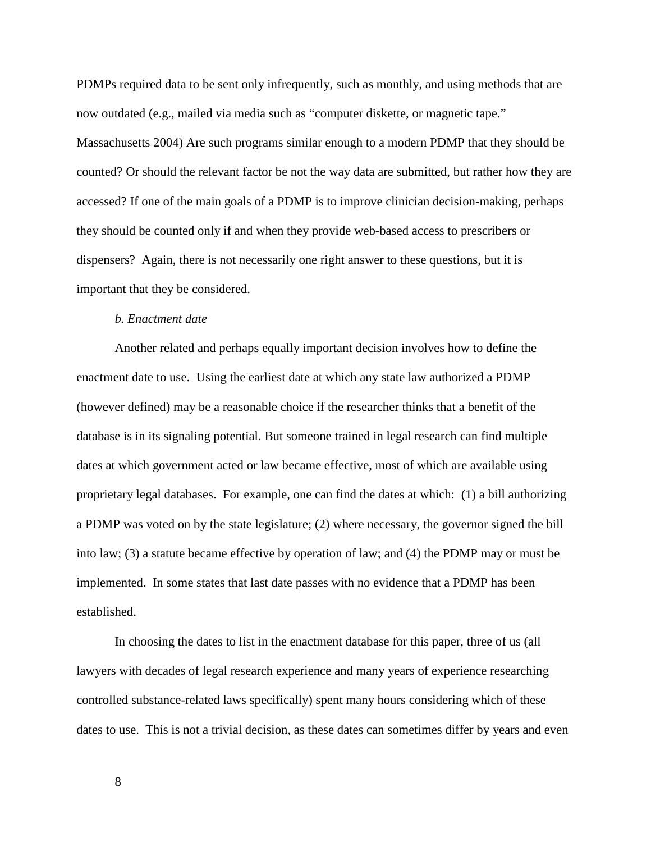PDMPs required data to be sent only infrequently, such as monthly, and using methods that are now outdated (e.g., mailed via media such as "computer diskette, or magnetic tape." Massachusetts 2004) Are such programs similar enough to a modern PDMP that they should be counted? Or should the relevant factor be not the way data are submitted, but rather how they are accessed? If one of the main goals of a PDMP is to improve clinician decision-making, perhaps they should be counted only if and when they provide web-based access to prescribers or dispensers? Again, there is not necessarily one right answer to these questions, but it is important that they be considered.

# *b. Enactment date*

Another related and perhaps equally important decision involves how to define the enactment date to use. Using the earliest date at which any state law authorized a PDMP (however defined) may be a reasonable choice if the researcher thinks that a benefit of the database is in its signaling potential. But someone trained in legal research can find multiple dates at which government acted or law became effective, most of which are available using proprietary legal databases. For example, one can find the dates at which: (1) a bill authorizing a PDMP was voted on by the state legislature; (2) where necessary, the governor signed the bill into law; (3) a statute became effective by operation of law; and (4) the PDMP may or must be implemented. In some states that last date passes with no evidence that a PDMP has been established.

In choosing the dates to list in the enactment database for this paper, three of us (all lawyers with decades of legal research experience and many years of experience researching controlled substance-related laws specifically) spent many hours considering which of these dates to use. This is not a trivial decision, as these dates can sometimes differ by years and even

8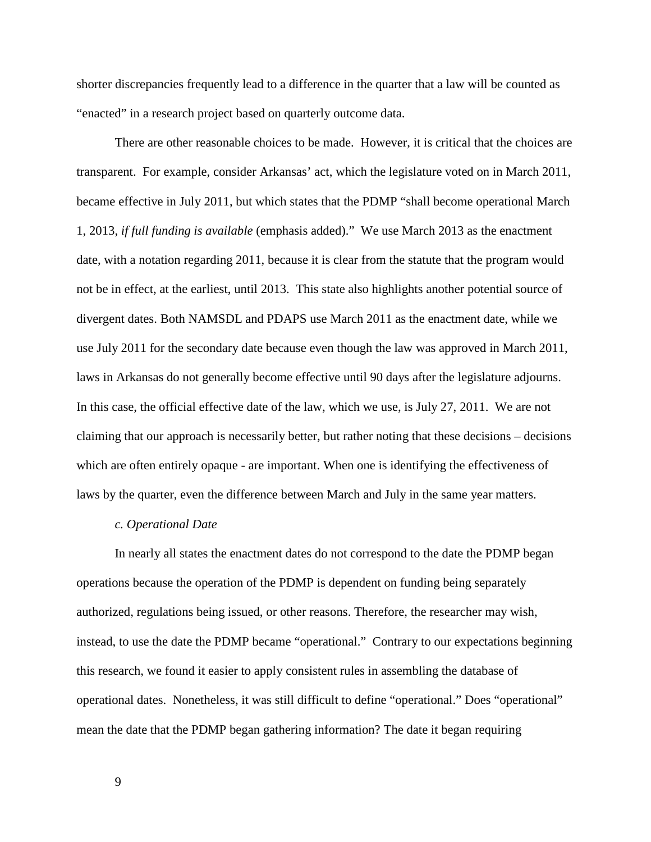shorter discrepancies frequently lead to a difference in the quarter that a law will be counted as "enacted" in a research project based on quarterly outcome data.

There are other reasonable choices to be made. However, it is critical that the choices are transparent. For example, consider Arkansas' act, which the legislature voted on in March 2011, became effective in July 2011, but which states that the PDMP "shall become operational March 1, 2013, *if full funding is available* (emphasis added)." We use March 2013 as the enactment date, with a notation regarding 2011, because it is clear from the statute that the program would not be in effect, at the earliest, until 2013. This state also highlights another potential source of divergent dates. Both NAMSDL and PDAPS use March 2011 as the enactment date, while we use July 2011 for the secondary date because even though the law was approved in March 2011, laws in Arkansas do not generally become effective until 90 days after the legislature adjourns. In this case, the official effective date of the law, which we use, is July 27, 2011. We are not claiming that our approach is necessarily better, but rather noting that these decisions – decisions which are often entirely opaque - are important. When one is identifying the effectiveness of laws by the quarter, even the difference between March and July in the same year matters.

### *c. Operational Date*

In nearly all states the enactment dates do not correspond to the date the PDMP began operations because the operation of the PDMP is dependent on funding being separately authorized, regulations being issued, or other reasons. Therefore, the researcher may wish, instead, to use the date the PDMP became "operational." Contrary to our expectations beginning this research, we found it easier to apply consistent rules in assembling the database of operational dates. Nonetheless, it was still difficult to define "operational." Does "operational" mean the date that the PDMP began gathering information? The date it began requiring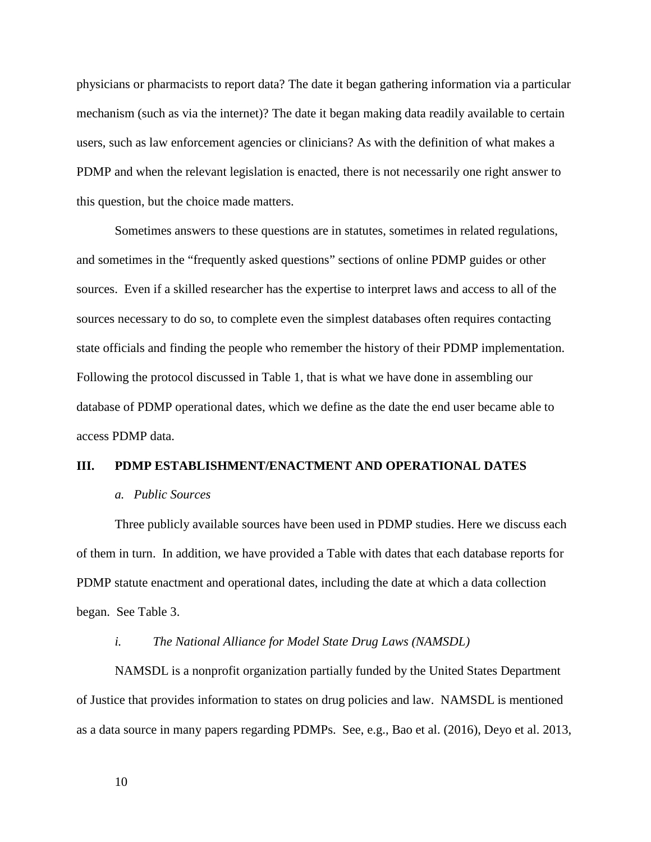physicians or pharmacists to report data? The date it began gathering information via a particular mechanism (such as via the internet)? The date it began making data readily available to certain users, such as law enforcement agencies or clinicians? As with the definition of what makes a PDMP and when the relevant legislation is enacted, there is not necessarily one right answer to this question, but the choice made matters.

Sometimes answers to these questions are in statutes, sometimes in related regulations, and sometimes in the "frequently asked questions" sections of online PDMP guides or other sources. Even if a skilled researcher has the expertise to interpret laws and access to all of the sources necessary to do so, to complete even the simplest databases often requires contacting state officials and finding the people who remember the history of their PDMP implementation. Following the protocol discussed in Table 1, that is what we have done in assembling our database of PDMP operational dates, which we define as the date the end user became able to access PDMP data.

#### **III. PDMP ESTABLISHMENT/ENACTMENT AND OPERATIONAL DATES**

# *a. Public Sources*

Three publicly available sources have been used in PDMP studies. Here we discuss each of them in turn. In addition, we have provided a Table with dates that each database reports for PDMP statute enactment and operational dates, including the date at which a data collection began. See Table 3.

#### *i. The National Alliance for Model State Drug Laws (NAMSDL)*

NAMSDL is a nonprofit organization partially funded by the United States Department of Justice that provides information to states on drug policies and law. NAMSDL is mentioned as a data source in many papers regarding PDMPs. See, e.g., Bao et al. (2016), Deyo et al. 2013,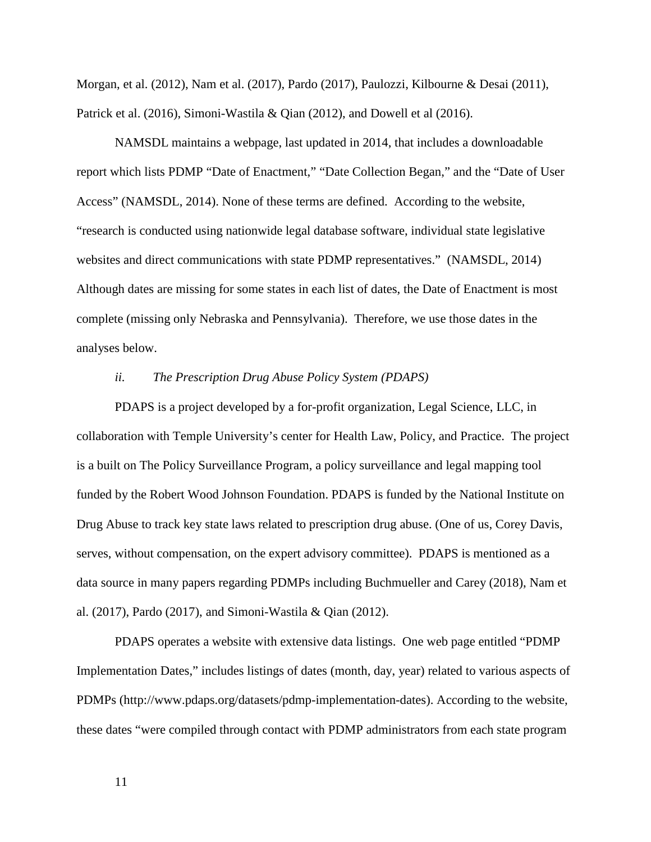Morgan, et al. (2012), Nam et al. (2017), Pardo (2017), Paulozzi, Kilbourne & Desai (2011), Patrick et al. (2016), Simoni-Wastila & Qian (2012), and Dowell et al (2016).

NAMSDL maintains a webpage, last updated in 2014, that includes a downloadable report which lists PDMP "Date of Enactment," "Date Collection Began," and the "Date of User Access" (NAMSDL, 2014). None of these terms are defined. According to the website, "research is conducted using nationwide legal database software, individual state legislative websites and direct communications with state PDMP representatives." (NAMSDL, 2014) Although dates are missing for some states in each list of dates, the Date of Enactment is most complete (missing only Nebraska and Pennsylvania). Therefore, we use those dates in the analyses below.

## *ii. The Prescription Drug Abuse Policy System (PDAPS)*

PDAPS is a project developed by a for-profit organization, Legal Science, LLC, in collaboration with Temple University's center for Health Law, Policy, and Practice. The project is a built on The Policy Surveillance Program, a policy surveillance and legal mapping tool funded by the Robert Wood Johnson Foundation. PDAPS is funded by the National Institute on Drug Abuse to track key state laws related to prescription drug abuse. (One of us, Corey Davis, serves, without compensation, on the expert advisory committee). PDAPS is mentioned as a data source in many papers regarding PDMPs including Buchmueller and Carey (2018), Nam et al. (2017), Pardo (2017), and Simoni-Wastila & Qian (2012).

PDAPS operates a website with extensive data listings. One web page entitled "PDMP Implementation Dates," includes listings of dates (month, day, year) related to various aspects of PDMPs (http://www.pdaps.org/datasets/pdmp-implementation-dates). According to the website, these dates "were compiled through contact with PDMP administrators from each state program

11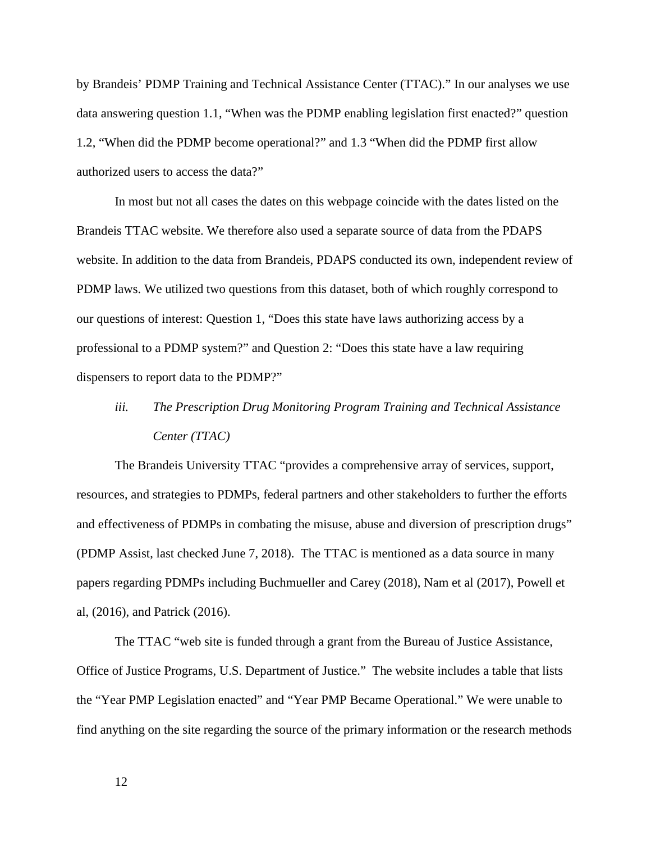by Brandeis' PDMP Training and Technical Assistance Center (TTAC)." In our analyses we use data answering question 1.1, "When was the PDMP enabling legislation first enacted?" question 1.2, "When did the PDMP become operational?" and 1.3 "When did the PDMP first allow authorized users to access the data?"

In most but not all cases the dates on this webpage coincide with the dates listed on the Brandeis TTAC website. We therefore also used a separate source of data from the PDAPS website. In addition to the data from Brandeis, PDAPS conducted its own, independent review of PDMP laws. We utilized two questions from this dataset, both of which roughly correspond to our questions of interest: Question 1, "Does this state have laws authorizing access by a professional to a PDMP system?" and Question 2: "Does this state have a law requiring dispensers to report data to the PDMP?"

*iii. The Prescription Drug Monitoring Program Training and Technical Assistance Center (TTAC)* 

The Brandeis University TTAC "provides a comprehensive array of services, support, resources, and strategies to PDMPs, federal partners and other stakeholders to further the efforts and effectiveness of PDMPs in combating the misuse, abuse and diversion of prescription drugs" (PDMP Assist, last checked June 7, 2018). The TTAC is mentioned as a data source in many papers regarding PDMPs including Buchmueller and Carey (2018), Nam et al (2017), Powell et al, (2016), and Patrick (2016).

The TTAC "web site is funded through a grant from the Bureau of Justice Assistance, Office of Justice Programs, U.S. Department of Justice." The website includes a table that lists the "Year PMP Legislation enacted" and "Year PMP Became Operational." We were unable to find anything on the site regarding the source of the primary information or the research methods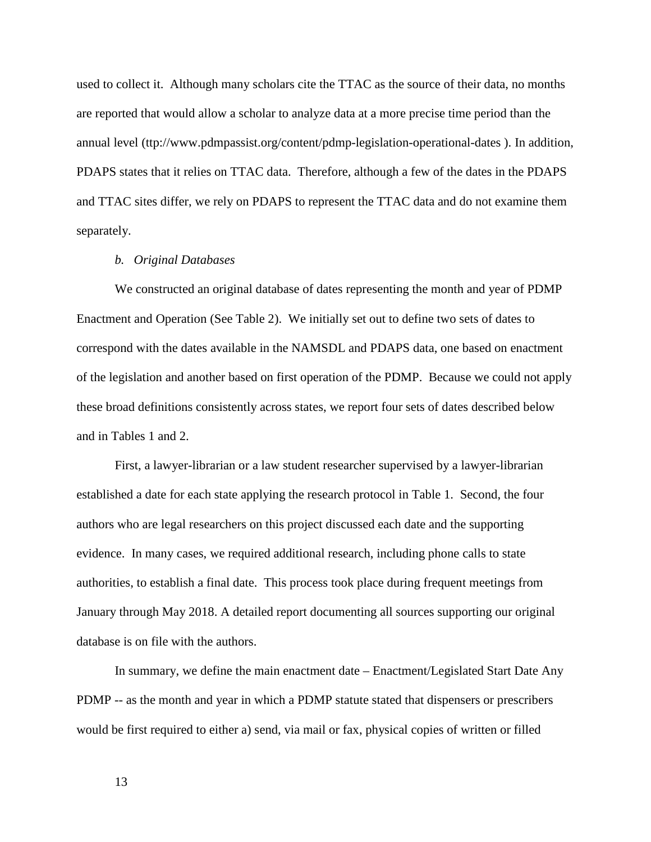used to collect it. Although many scholars cite the TTAC as the source of their data, no months are reported that would allow a scholar to analyze data at a more precise time period than the annual level (ttp://www.pdmpassist.org/content/pdmp-legislation-operational-dates ). In addition, PDAPS states that it relies on TTAC data. Therefore, although a few of the dates in the PDAPS and TTAC sites differ, we rely on PDAPS to represent the TTAC data and do not examine them separately.

#### *b. Original Databases*

We constructed an original database of dates representing the month and year of PDMP Enactment and Operation (See Table 2). We initially set out to define two sets of dates to correspond with the dates available in the NAMSDL and PDAPS data, one based on enactment of the legislation and another based on first operation of the PDMP. Because we could not apply these broad definitions consistently across states, we report four sets of dates described below and in Tables 1 and 2.

First, a lawyer-librarian or a law student researcher supervised by a lawyer-librarian established a date for each state applying the research protocol in Table 1. Second, the four authors who are legal researchers on this project discussed each date and the supporting evidence. In many cases, we required additional research, including phone calls to state authorities, to establish a final date. This process took place during frequent meetings from January through May 2018. A detailed report documenting all sources supporting our original database is on file with the authors.

In summary, we define the main enactment date – Enactment/Legislated Start Date Any PDMP -- as the month and year in which a PDMP statute stated that dispensers or prescribers would be first required to either a) send, via mail or fax, physical copies of written or filled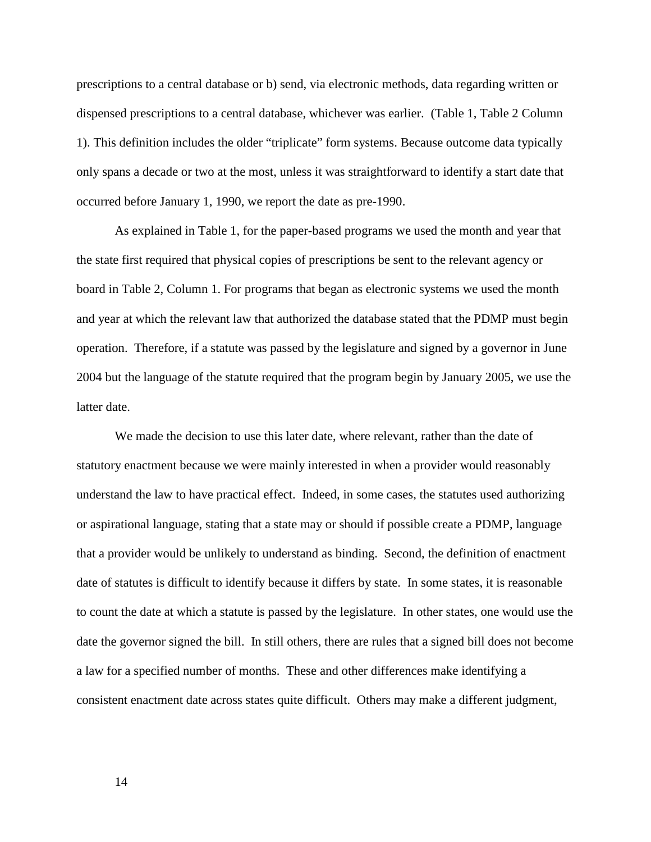prescriptions to a central database or b) send, via electronic methods, data regarding written or dispensed prescriptions to a central database, whichever was earlier. (Table 1, Table 2 Column 1). This definition includes the older "triplicate" form systems. Because outcome data typically only spans a decade or two at the most, unless it was straightforward to identify a start date that occurred before January 1, 1990, we report the date as pre-1990.

As explained in Table 1, for the paper-based programs we used the month and year that the state first required that physical copies of prescriptions be sent to the relevant agency or board in Table 2, Column 1. For programs that began as electronic systems we used the month and year at which the relevant law that authorized the database stated that the PDMP must begin operation. Therefore, if a statute was passed by the legislature and signed by a governor in June 2004 but the language of the statute required that the program begin by January 2005, we use the latter date.

We made the decision to use this later date, where relevant, rather than the date of statutory enactment because we were mainly interested in when a provider would reasonably understand the law to have practical effect. Indeed, in some cases, the statutes used authorizing or aspirational language, stating that a state may or should if possible create a PDMP, language that a provider would be unlikely to understand as binding. Second, the definition of enactment date of statutes is difficult to identify because it differs by state. In some states, it is reasonable to count the date at which a statute is passed by the legislature. In other states, one would use the date the governor signed the bill. In still others, there are rules that a signed bill does not become a law for a specified number of months. These and other differences make identifying a consistent enactment date across states quite difficult. Others may make a different judgment,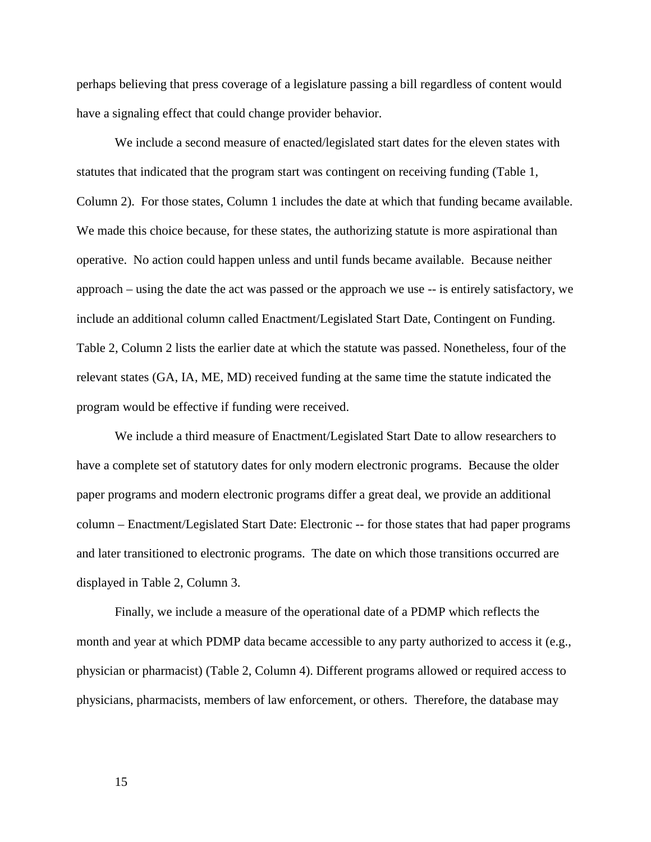perhaps believing that press coverage of a legislature passing a bill regardless of content would have a signaling effect that could change provider behavior.

We include a second measure of enacted/legislated start dates for the eleven states with statutes that indicated that the program start was contingent on receiving funding (Table 1, Column 2). For those states, Column 1 includes the date at which that funding became available. We made this choice because, for these states, the authorizing statute is more aspirational than operative. No action could happen unless and until funds became available. Because neither approach – using the date the act was passed or the approach we use -- is entirely satisfactory, we include an additional column called Enactment/Legislated Start Date, Contingent on Funding. Table 2, Column 2 lists the earlier date at which the statute was passed. Nonetheless, four of the relevant states (GA, IA, ME, MD) received funding at the same time the statute indicated the program would be effective if funding were received.

We include a third measure of Enactment/Legislated Start Date to allow researchers to have a complete set of statutory dates for only modern electronic programs. Because the older paper programs and modern electronic programs differ a great deal, we provide an additional column – Enactment/Legislated Start Date: Electronic -- for those states that had paper programs and later transitioned to electronic programs. The date on which those transitions occurred are displayed in Table 2, Column 3.

Finally, we include a measure of the operational date of a PDMP which reflects the month and year at which PDMP data became accessible to any party authorized to access it (e.g., physician or pharmacist) (Table 2, Column 4). Different programs allowed or required access to physicians, pharmacists, members of law enforcement, or others. Therefore, the database may

15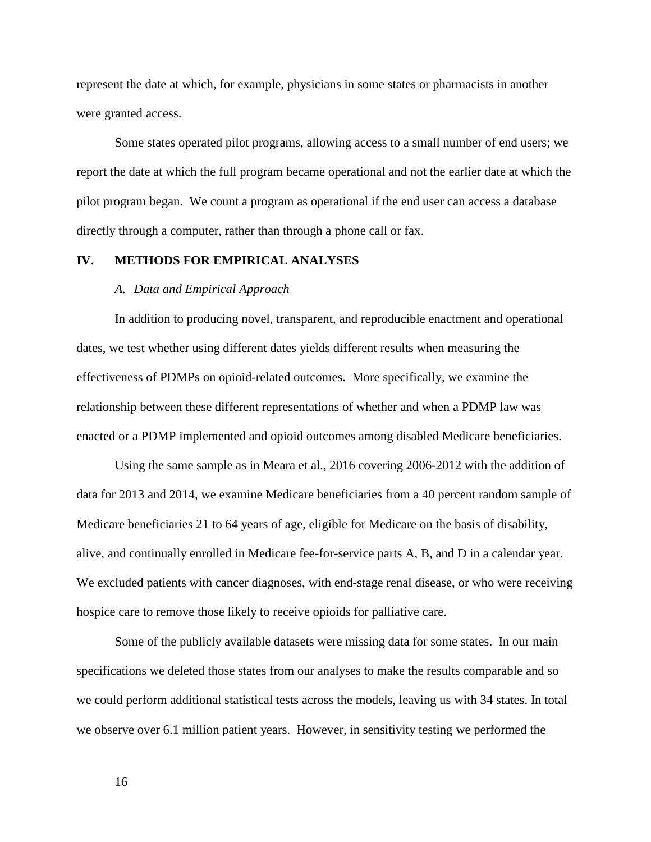represent the date at which, for example, physicians in some states or pharmacists in another were granted access.

Some states operated pilot programs, allowing access to a small number of end users; we report the date at which the full program became operational and not the earlier date at which the pilot program began. We count a program as operational if the end user can access a database directly through a computer, rather than through a phone call or fax.

# **IV. METHODS FOR EMPIRICAL ANALYSES**

#### *A. Data and Empirical Approach*

In addition to producing novel, transparent, and reproducible enactment and operational dates, we test whether using different dates yields different results when measuring the effectiveness of PDMPs on opioid-related outcomes. More specifically, we examine the relationship between these different representations of whether and when a PDMP law was enacted or a PDMP implemented and opioid outcomes among disabled Medicare beneficiaries.

Using the same sample as in Meara et al., 2016 covering 2006-2012 with the addition of data for 2013 and 2014, we examine Medicare beneficiaries from a 40 percent random sample of Medicare beneficiaries 21 to 64 years of age, eligible for Medicare on the basis of disability, alive, and continually enrolled in Medicare fee-for-service parts A, B, and D in a calendar year. We excluded patients with cancer diagnoses, with end-stage renal disease, or who were receiving hospice care to remove those likely to receive opioids for palliative care.

Some of the publicly available datasets were missing data for some states. In our main specifications we deleted those states from our analyses to make the results comparable and so we could perform additional statistical tests across the models, leaving us with 34 states. In total we observe over 6.1 million patient years. However, in sensitivity testing we performed the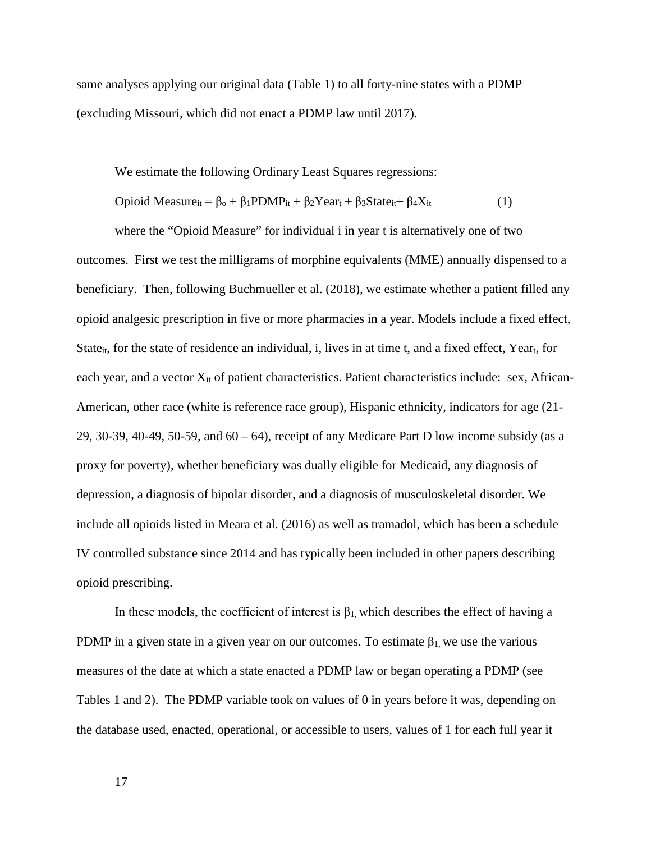same analyses applying our original data (Table 1) to all forty-nine states with a PDMP (excluding Missouri, which did not enact a PDMP law until 2017).

We estimate the following Ordinary Least Squares regressions:

$$
Opioid Measure_{it} = \beta_0 + \beta_1 P DMP_{it} + \beta_2 Year_t + \beta_3 State_{it} + \beta_4 X_{it}
$$
 (1)

where the "Opioid Measure" for individual i in year t is alternatively one of two outcomes. First we test the milligrams of morphine equivalents (MME) annually dispensed to a beneficiary. Then, following Buchmueller et al. (2018), we estimate whether a patient filled any opioid analgesic prescription in five or more pharmacies in a year. Models include a fixed effect, State<sub>it</sub>, for the state of residence an individual, i, lives in at time t, and a fixed effect, Yeart, for each year, and a vector  $X_{it}$  of patient characteristics. Patient characteristics include: sex, African-American, other race (white is reference race group), Hispanic ethnicity, indicators for age (21- 29, 30-39, 40-49, 50-59, and  $60 - 64$ ), receipt of any Medicare Part D low income subsidy (as a proxy for poverty), whether beneficiary was dually eligible for Medicaid, any diagnosis of depression, a diagnosis of bipolar disorder, and a diagnosis of musculoskeletal disorder. We include all opioids listed in Meara et al. (2016) as well as tramadol, which has been a schedule IV controlled substance since 2014 and has typically been included in other papers describing opioid prescribing.

In these models, the coefficient of interest is  $\beta_1$ , which describes the effect of having a PDMP in a given state in a given year on our outcomes. To estimate  $\beta_1$ , we use the various measures of the date at which a state enacted a PDMP law or began operating a PDMP (see Tables 1 and 2). The PDMP variable took on values of 0 in years before it was, depending on the database used, enacted, operational, or accessible to users, values of 1 for each full year it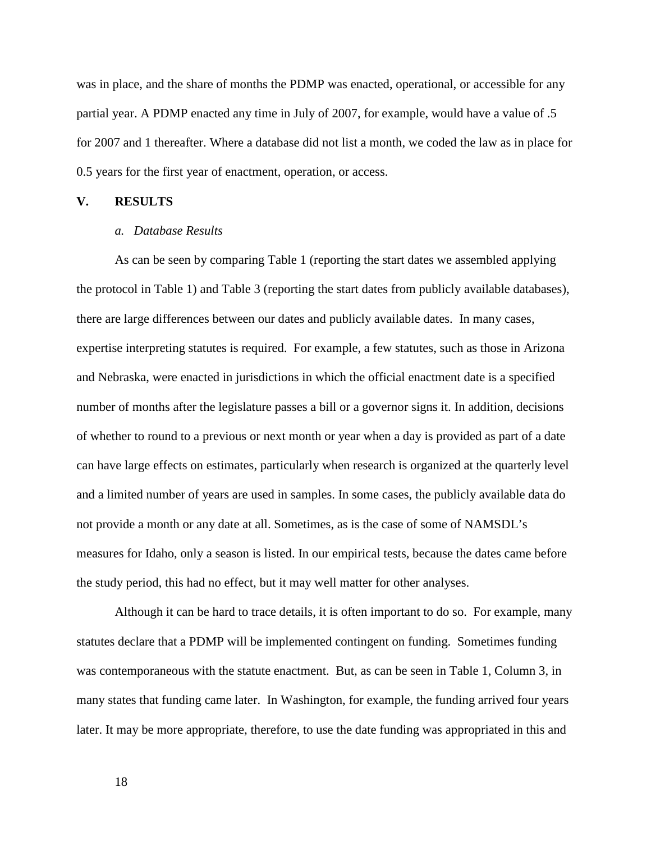was in place, and the share of months the PDMP was enacted, operational, or accessible for any partial year. A PDMP enacted any time in July of 2007, for example, would have a value of .5 for 2007 and 1 thereafter. Where a database did not list a month, we coded the law as in place for 0.5 years for the first year of enactment, operation, or access.

# **V. RESULTS**

# *a. Database Results*

As can be seen by comparing Table 1 (reporting the start dates we assembled applying the protocol in Table 1) and Table 3 (reporting the start dates from publicly available databases), there are large differences between our dates and publicly available dates. In many cases, expertise interpreting statutes is required. For example, a few statutes, such as those in Arizona and Nebraska, were enacted in jurisdictions in which the official enactment date is a specified number of months after the legislature passes a bill or a governor signs it. In addition, decisions of whether to round to a previous or next month or year when a day is provided as part of a date can have large effects on estimates, particularly when research is organized at the quarterly level and a limited number of years are used in samples. In some cases, the publicly available data do not provide a month or any date at all. Sometimes, as is the case of some of NAMSDL's measures for Idaho, only a season is listed. In our empirical tests, because the dates came before the study period, this had no effect, but it may well matter for other analyses.

Although it can be hard to trace details, it is often important to do so. For example, many statutes declare that a PDMP will be implemented contingent on funding. Sometimes funding was contemporaneous with the statute enactment. But, as can be seen in Table 1, Column 3, in many states that funding came later. In Washington, for example, the funding arrived four years later. It may be more appropriate, therefore, to use the date funding was appropriated in this and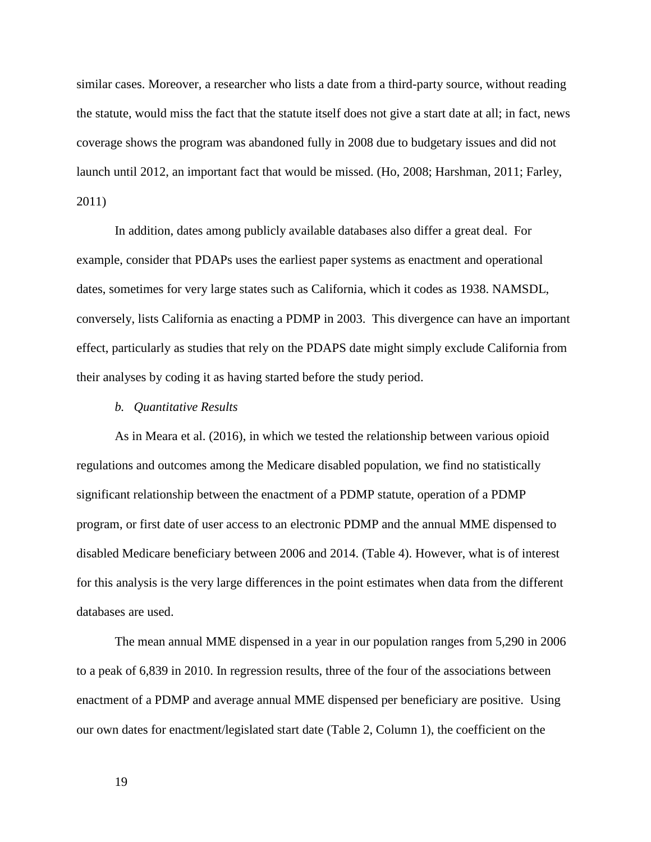similar cases. Moreover, a researcher who lists a date from a third-party source, without reading the statute, would miss the fact that the statute itself does not give a start date at all; in fact, news coverage shows the program was abandoned fully in 2008 due to budgetary issues and did not launch until 2012, an important fact that would be missed. (Ho, 2008; Harshman, 2011; Farley, 2011)

In addition, dates among publicly available databases also differ a great deal. For example, consider that PDAPs uses the earliest paper systems as enactment and operational dates, sometimes for very large states such as California, which it codes as 1938. NAMSDL, conversely, lists California as enacting a PDMP in 2003. This divergence can have an important effect, particularly as studies that rely on the PDAPS date might simply exclude California from their analyses by coding it as having started before the study period.

#### *b. Quantitative Results*

As in Meara et al. (2016), in which we tested the relationship between various opioid regulations and outcomes among the Medicare disabled population, we find no statistically significant relationship between the enactment of a PDMP statute, operation of a PDMP program, or first date of user access to an electronic PDMP and the annual MME dispensed to disabled Medicare beneficiary between 2006 and 2014. (Table 4). However, what is of interest for this analysis is the very large differences in the point estimates when data from the different databases are used.

The mean annual MME dispensed in a year in our population ranges from 5,290 in 2006 to a peak of 6,839 in 2010. In regression results, three of the four of the associations between enactment of a PDMP and average annual MME dispensed per beneficiary are positive. Using our own dates for enactment/legislated start date (Table 2, Column 1), the coefficient on the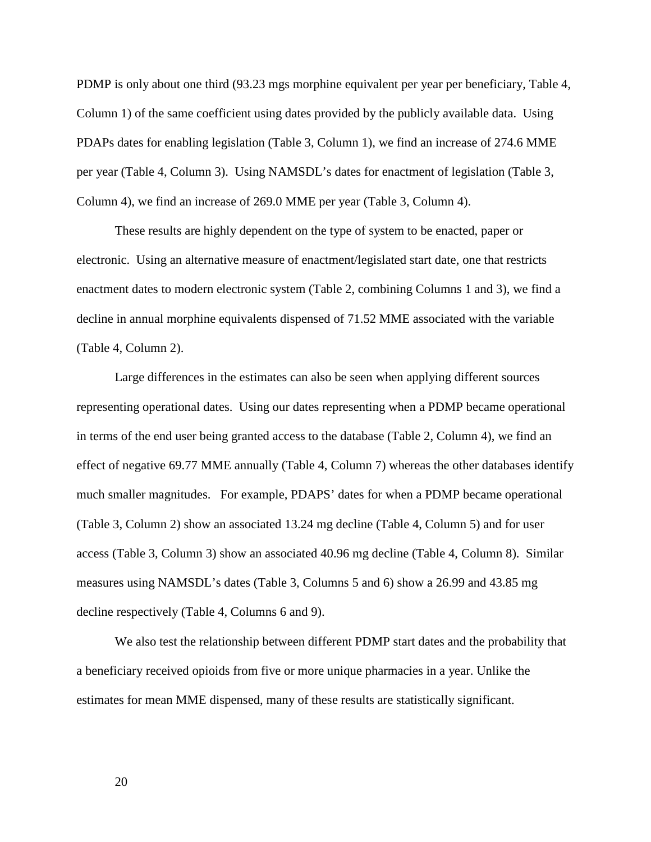PDMP is only about one third (93.23 mgs morphine equivalent per year per beneficiary, Table 4, Column 1) of the same coefficient using dates provided by the publicly available data. Using PDAPs dates for enabling legislation (Table 3, Column 1), we find an increase of 274.6 MME per year (Table 4, Column 3). Using NAMSDL's dates for enactment of legislation (Table 3, Column 4), we find an increase of 269.0 MME per year (Table 3, Column 4).

These results are highly dependent on the type of system to be enacted, paper or electronic. Using an alternative measure of enactment/legislated start date, one that restricts enactment dates to modern electronic system (Table 2, combining Columns 1 and 3), we find a decline in annual morphine equivalents dispensed of 71.52 MME associated with the variable (Table 4, Column 2).

Large differences in the estimates can also be seen when applying different sources representing operational dates. Using our dates representing when a PDMP became operational in terms of the end user being granted access to the database (Table 2, Column 4), we find an effect of negative 69.77 MME annually (Table 4, Column 7) whereas the other databases identify much smaller magnitudes. For example, PDAPS' dates for when a PDMP became operational (Table 3, Column 2) show an associated 13.24 mg decline (Table 4, Column 5) and for user access (Table 3, Column 3) show an associated 40.96 mg decline (Table 4, Column 8). Similar measures using NAMSDL's dates (Table 3, Columns 5 and 6) show a 26.99 and 43.85 mg decline respectively (Table 4, Columns 6 and 9).

We also test the relationship between different PDMP start dates and the probability that a beneficiary received opioids from five or more unique pharmacies in a year. Unlike the estimates for mean MME dispensed, many of these results are statistically significant.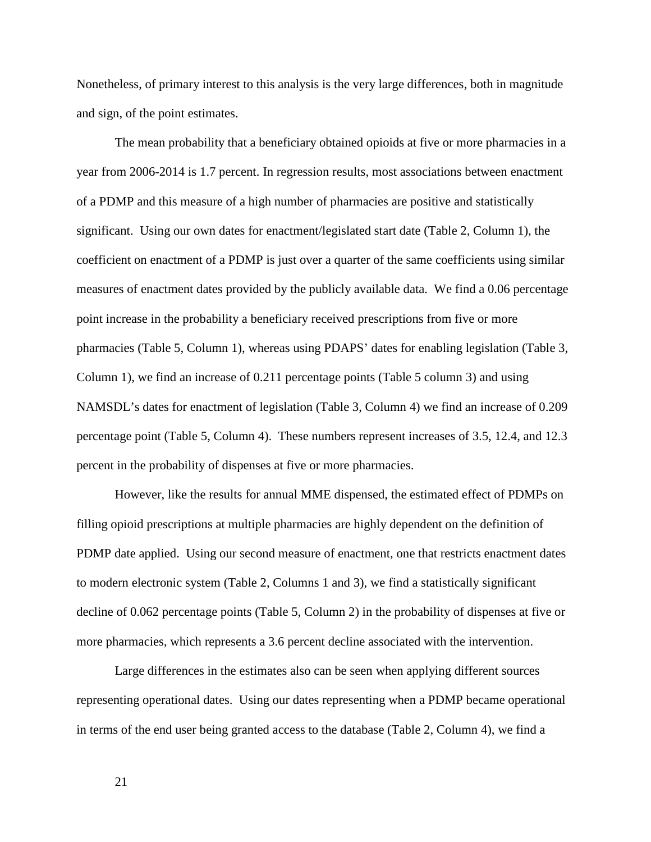Nonetheless, of primary interest to this analysis is the very large differences, both in magnitude and sign, of the point estimates.

The mean probability that a beneficiary obtained opioids at five or more pharmacies in a year from 2006-2014 is 1.7 percent. In regression results, most associations between enactment of a PDMP and this measure of a high number of pharmacies are positive and statistically significant. Using our own dates for enactment/legislated start date (Table 2, Column 1), the coefficient on enactment of a PDMP is just over a quarter of the same coefficients using similar measures of enactment dates provided by the publicly available data. We find a 0.06 percentage point increase in the probability a beneficiary received prescriptions from five or more pharmacies (Table 5, Column 1), whereas using PDAPS' dates for enabling legislation (Table 3, Column 1), we find an increase of 0.211 percentage points (Table 5 column 3) and using NAMSDL's dates for enactment of legislation (Table 3, Column 4) we find an increase of 0.209 percentage point (Table 5, Column 4). These numbers represent increases of 3.5, 12.4, and 12.3 percent in the probability of dispenses at five or more pharmacies.

However, like the results for annual MME dispensed, the estimated effect of PDMPs on filling opioid prescriptions at multiple pharmacies are highly dependent on the definition of PDMP date applied. Using our second measure of enactment, one that restricts enactment dates to modern electronic system (Table 2, Columns 1 and 3), we find a statistically significant decline of 0.062 percentage points (Table 5, Column 2) in the probability of dispenses at five or more pharmacies, which represents a 3.6 percent decline associated with the intervention.

Large differences in the estimates also can be seen when applying different sources representing operational dates. Using our dates representing when a PDMP became operational in terms of the end user being granted access to the database (Table 2, Column 4), we find a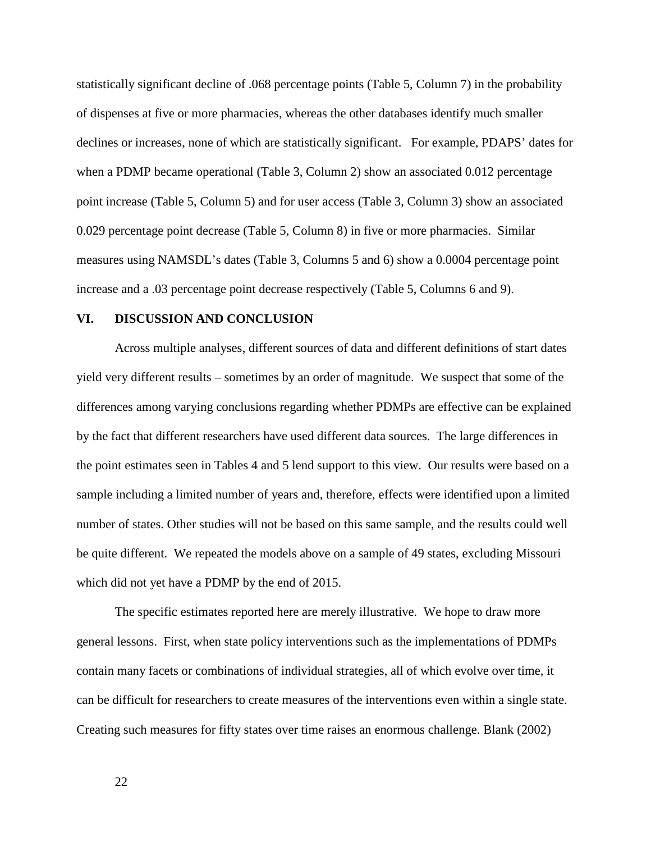statistically significant decline of .068 percentage points (Table 5, Column 7) in the probability of dispenses at five or more pharmacies, whereas the other databases identify much smaller declines or increases, none of which are statistically significant. For example, PDAPS' dates for when a PDMP became operational (Table 3, Column 2) show an associated 0.012 percentage point increase (Table 5, Column 5) and for user access (Table 3, Column 3) show an associated 0.029 percentage point decrease (Table 5, Column 8) in five or more pharmacies. Similar measures using NAMSDL's dates (Table 3, Columns 5 and 6) show a 0.0004 percentage point increase and a .03 percentage point decrease respectively (Table 5, Columns 6 and 9).

#### **VI. DISCUSSION AND CONCLUSION**

Across multiple analyses, different sources of data and different definitions of start dates yield very different results – sometimes by an order of magnitude. We suspect that some of the differences among varying conclusions regarding whether PDMPs are effective can be explained by the fact that different researchers have used different data sources. The large differences in the point estimates seen in Tables 4 and 5 lend support to this view. Our results were based on a sample including a limited number of years and, therefore, effects were identified upon a limited number of states. Other studies will not be based on this same sample, and the results could well be quite different. We repeated the models above on a sample of 49 states, excluding Missouri which did not yet have a PDMP by the end of 2015.

The specific estimates reported here are merely illustrative. We hope to draw more general lessons. First, when state policy interventions such as the implementations of PDMPs contain many facets or combinations of individual strategies, all of which evolve over time, it can be difficult for researchers to create measures of the interventions even within a single state. Creating such measures for fifty states over time raises an enormous challenge. Blank (2002)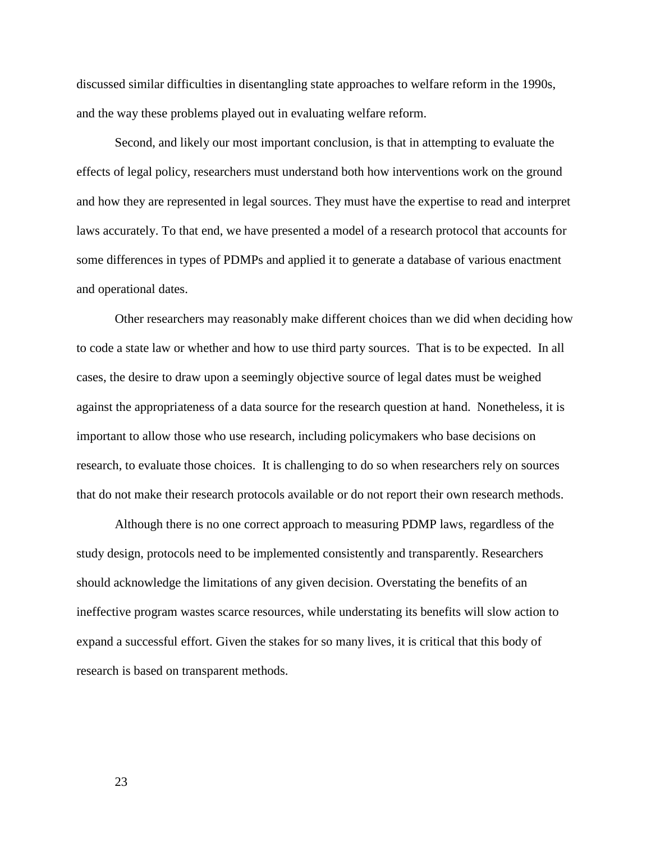discussed similar difficulties in disentangling state approaches to welfare reform in the 1990s, and the way these problems played out in evaluating welfare reform.

Second, and likely our most important conclusion, is that in attempting to evaluate the effects of legal policy, researchers must understand both how interventions work on the ground and how they are represented in legal sources. They must have the expertise to read and interpret laws accurately. To that end, we have presented a model of a research protocol that accounts for some differences in types of PDMPs and applied it to generate a database of various enactment and operational dates.

Other researchers may reasonably make different choices than we did when deciding how to code a state law or whether and how to use third party sources. That is to be expected. In all cases, the desire to draw upon a seemingly objective source of legal dates must be weighed against the appropriateness of a data source for the research question at hand. Nonetheless, it is important to allow those who use research, including policymakers who base decisions on research, to evaluate those choices. It is challenging to do so when researchers rely on sources that do not make their research protocols available or do not report their own research methods.

Although there is no one correct approach to measuring PDMP laws, regardless of the study design, protocols need to be implemented consistently and transparently. Researchers should acknowledge the limitations of any given decision. Overstating the benefits of an ineffective program wastes scarce resources, while understating its benefits will slow action to expand a successful effort. Given the stakes for so many lives, it is critical that this body of research is based on transparent methods.

23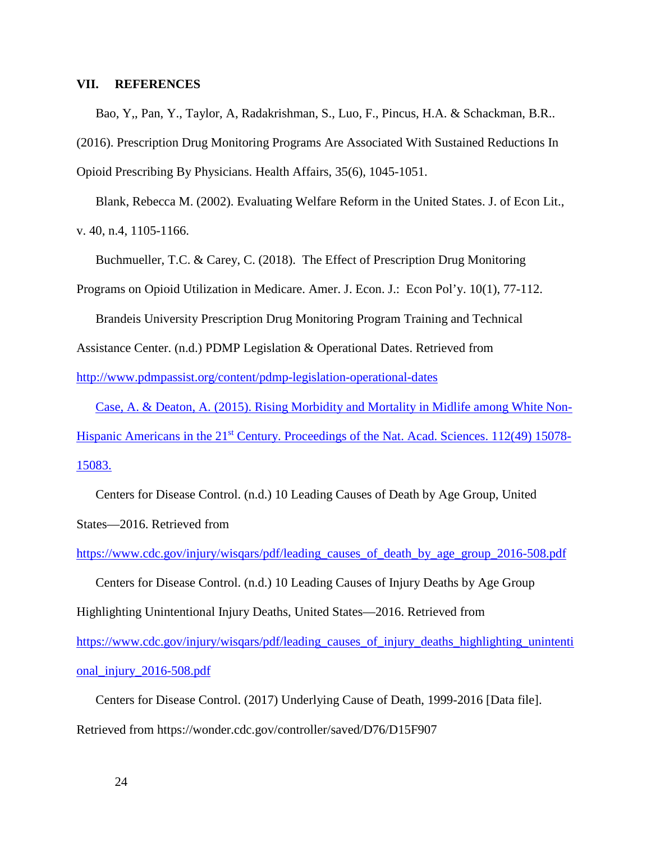#### **VII. REFERENCES**

Bao, Y,, Pan, Y., Taylor, A, Radakrishman, S., Luo, F., Pincus, H.A. & Schackman, B.R.. (2016). Prescription Drug Monitoring Programs Are Associated With Sustained Reductions In Opioid Prescribing By Physicians. Health Affairs, 35(6), 1045-1051.

Blank, Rebecca M. (2002). Evaluating Welfare Reform in the United States. J. of Econ Lit., v. 40, n.4, 1105-1166.

Buchmueller, T.C. & Carey, C. (2018). The Effect of Prescription Drug Monitoring

Programs on Opioid Utilization in Medicare. Amer. J. Econ. J.: Econ Pol'y. 10(1), 77-112.

Brandeis University Prescription Drug Monitoring Program Training and Technical

Assistance Center. (n.d.) PDMP Legislation & Operational Dates. Retrieved from

<http://www.pdmpassist.org/content/pdmp-legislation-operational-dates>

Case, A. & Deaton, A. (2015). Rising Morbidity and Mortality in Midlife among White Non-Hispanic Americans in the 21<sup>st</sup> Century. Proceedings of the Nat. Acad. Sciences. 112(49) 15078-15083.

Centers for Disease Control. (n.d.) 10 Leading Causes of Death by Age Group, United States—2016. Retrieved from

[https://www.cdc.gov/injury/wisqars/pdf/leading\\_causes\\_of\\_death\\_by\\_age\\_group\\_2016-508.pdf](https://www.cdc.gov/injury/wisqars/pdf/leading_causes_of_death_by_age_group_2016-508.pdf) 

Centers for Disease Control. (n.d.) 10 Leading Causes of Injury Deaths by Age Group Highlighting Unintentional Injury Deaths, United States—2016. Retrieved from [https://www.cdc.gov/injury/wisqars/pdf/leading\\_causes\\_of\\_injury\\_deaths\\_highlighting\\_unintenti](https://www.cdc.gov/injury/wisqars/pdf/leading_causes_of_injury_deaths_highlighting_unintentional_injury_2016-508.pdf) [onal\\_injury\\_2016-508.pdf](https://www.cdc.gov/injury/wisqars/pdf/leading_causes_of_injury_deaths_highlighting_unintentional_injury_2016-508.pdf)

Centers for Disease Control. (2017) Underlying Cause of Death, 1999-2016 [Data file]. Retrieved from https://wonder.cdc.gov/controller/saved/D76/D15F907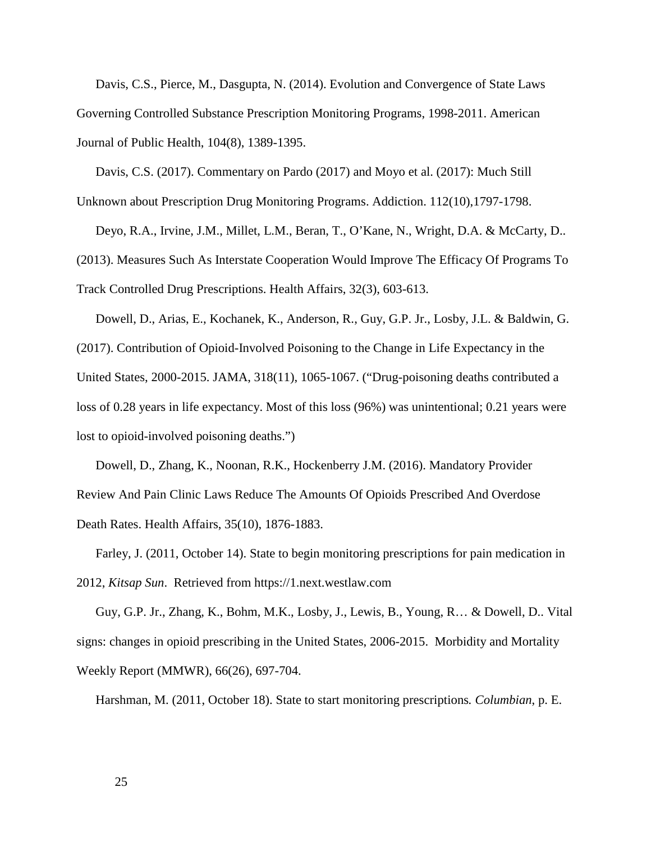Davis, C.S., Pierce, M., Dasgupta, N. (2014). Evolution and Convergence of State Laws Governing Controlled Substance Prescription Monitoring Programs, 1998-2011. American Journal of Public Health, 104(8), 1389-1395.

Davis, C.S. (2017). Commentary on Pardo (2017) and Moyo et al. (2017): Much Still Unknown about Prescription Drug Monitoring Programs. Addiction. 112(10),1797-1798.

Deyo, R.A., Irvine, J.M., Millet, L.M., Beran, T., O'Kane, N., Wright, D.A. & McCarty, D.. (2013). Measures Such As Interstate Cooperation Would Improve The Efficacy Of Programs To Track Controlled Drug Prescriptions. Health Affairs, 32(3), 603-613.

Dowell, D., Arias, E., Kochanek, K., Anderson, R., Guy, G.P. Jr., Losby, J.L. & Baldwin, G. (2017). Contribution of Opioid-Involved Poisoning to the Change in Life Expectancy in the United States, 2000-2015. JAMA, 318(11), 1065-1067. ("Drug-poisoning deaths contributed a loss of 0.28 years in life expectancy. Most of this loss (96%) was unintentional; 0.21 years were lost to opioid-involved poisoning deaths.")

Dowell, D., Zhang, K., Noonan, R.K., Hockenberry J.M. (2016). Mandatory Provider Review And Pain Clinic Laws Reduce The Amounts Of Opioids Prescribed And Overdose Death Rates. Health Affairs, 35(10), 1876-1883.

Farley, J. (2011, October 14). State to begin monitoring prescriptions for pain medication in 2012, *Kitsap Sun*. Retrieved from https://1.next.westlaw.com

Guy, G.P. Jr., Zhang, K., Bohm, M.K., Losby, J., Lewis, B., Young, R… & Dowell, D.. Vital signs: changes in opioid prescribing in the United States, 2006-2015. Morbidity and Mortality Weekly Report (MMWR), 66(26), 697-704.

Harshman, M. (2011, October 18). State to start monitoring prescriptions*. Columbian*, p. E.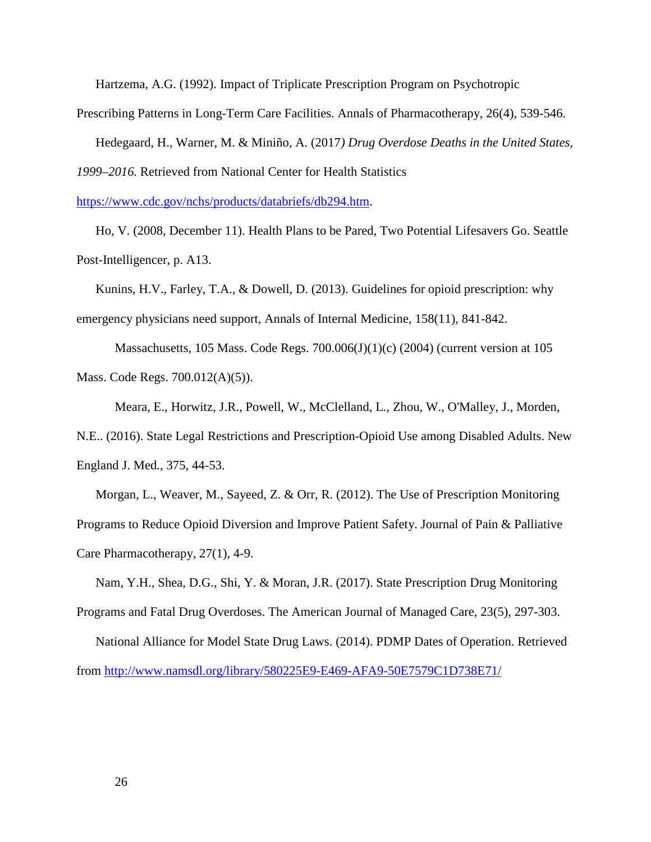Hartzema, A.G. (1992). Impact of Triplicate Prescription Program on Psychotropic

Prescribing Patterns in Long-Term Care Facilities. Annals of Pharmacotherapy, 26(4), 539-546.

Hedegaard, H., Warner, M. & Miniño, A. (2017*) Drug Overdose Deaths in the United States, 1999–2016.* Retrieved from National Center for Health Statistics

[https://www.cdc.gov/nchs/products/databriefs/db294.htm.](https://www.cdc.gov/nchs/products/databriefs/db294.htm)

Ho, V. (2008, December 11). Health Plans to be Pared, Two Potential Lifesavers Go. Seattle Post-Intelligencer, p. A13.

Kunins, H.V., Farley, T.A., & Dowell, D. (2013). Guidelines for opioid prescription: why emergency physicians need support, Annals of Internal Medicine, 158(11), 841-842.

Massachusetts, 105 Mass. Code Regs. 700.006(J)(1)(c) (2004) (current version at 105 Mass. Code Regs. 700.012(A)(5)).

Meara, E., Horwitz, J.R., Powell, W., McClelland, L., Zhou, W., O'Malley, J., Morden,

N.E.. (2016). State Legal Restrictions and Prescription-Opioid Use among Disabled Adults. New England J. Med*.*, 375, 44-53.

Morgan, L., Weaver, M., Sayeed, Z. & Orr, R. (2012). The Use of Prescription Monitoring Programs to Reduce Opioid Diversion and Improve Patient Safety. Journal of Pain & Palliative Care Pharmacotherapy*,* 27(1), 4-9.

Nam, Y.H., Shea, D.G., Shi, Y. & Moran, J.R. (2017). State Prescription Drug Monitoring Programs and Fatal Drug Overdoses. The American Journal of Managed Care, 23(5), 297-303.

National Alliance for Model State Drug Laws. (2014). PDMP Dates of Operation. Retrieved from<http://www.namsdl.org/library/580225E9-E469-AFA9-50E7579C1D738E71/>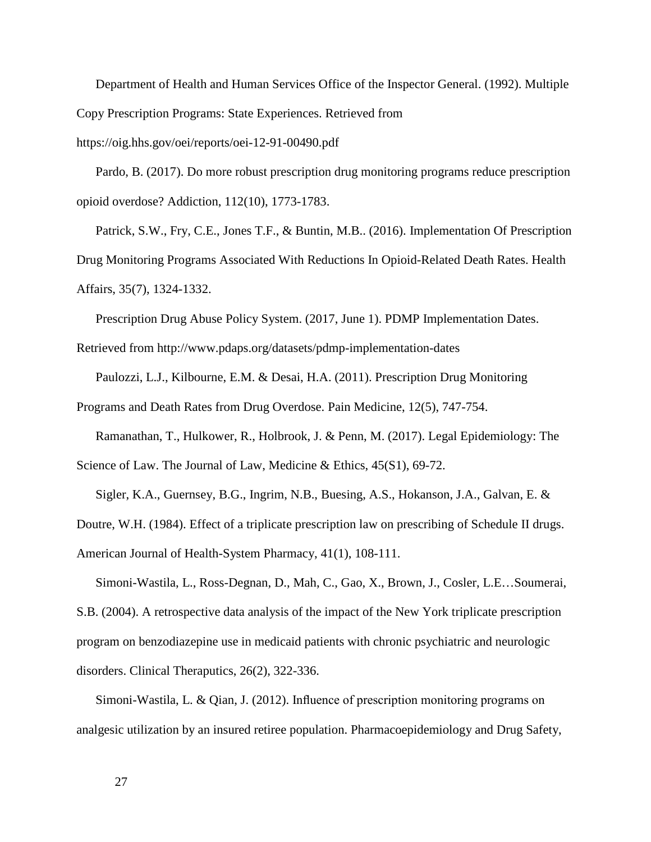Department of Health and Human Services Office of the Inspector General. (1992). Multiple Copy Prescription Programs: State Experiences. Retrieved from https://oig.hhs.gov/oei/reports/oei-12-91-00490.pdf

Pardo, B. (2017). Do more robust prescription drug monitoring programs reduce prescription opioid overdose? Addiction, 112(10), 1773-1783.

Patrick, S.W., Fry, C.E., Jones T.F., & Buntin, M.B.. (2016). Implementation Of Prescription Drug Monitoring Programs Associated With Reductions In Opioid-Related Death Rates. Health Affairs, 35(7), 1324-1332.

Prescription Drug Abuse Policy System. (2017, June 1). PDMP Implementation Dates.

Retrieved from http://www.pdaps.org/datasets/pdmp-implementation-dates

Paulozzi, L.J., Kilbourne, E.M. & Desai, H.A. (2011). Prescription Drug Monitoring Programs and Death Rates from Drug Overdose. Pain Medicine, 12(5), 747-754.

Ramanathan, T., Hulkower, R., Holbrook, J. & Penn, M. (2017). Legal Epidemiology: The Science of Law. The Journal of Law, Medicine & Ethics, 45(S1), 69-72.

Sigler, K.A., Guernsey, B.G., Ingrim, N.B., Buesing, A.S., Hokanson, J.A., Galvan, E. & Doutre, W.H. (1984). Effect of a triplicate prescription law on prescribing of Schedule II drugs. American Journal of Health-System Pharmacy, 41(1), 108-111.

Simoni-Wastila, L., Ross-Degnan, D., Mah, C., Gao, X., Brown, J., Cosler, L.E…Soumerai, S.B. (2004). A retrospective data analysis of the impact of the New York triplicate prescription program on benzodiazepine use in medicaid patients with chronic psychiatric and neurologic disorders. Clinical Theraputics, 26(2), 322-336.

Simoni-Wastila, L. & Qian, J. (2012). Influence of prescription monitoring programs on analgesic utilization by an insured retiree population. Pharmacoepidemiology and Drug Safety,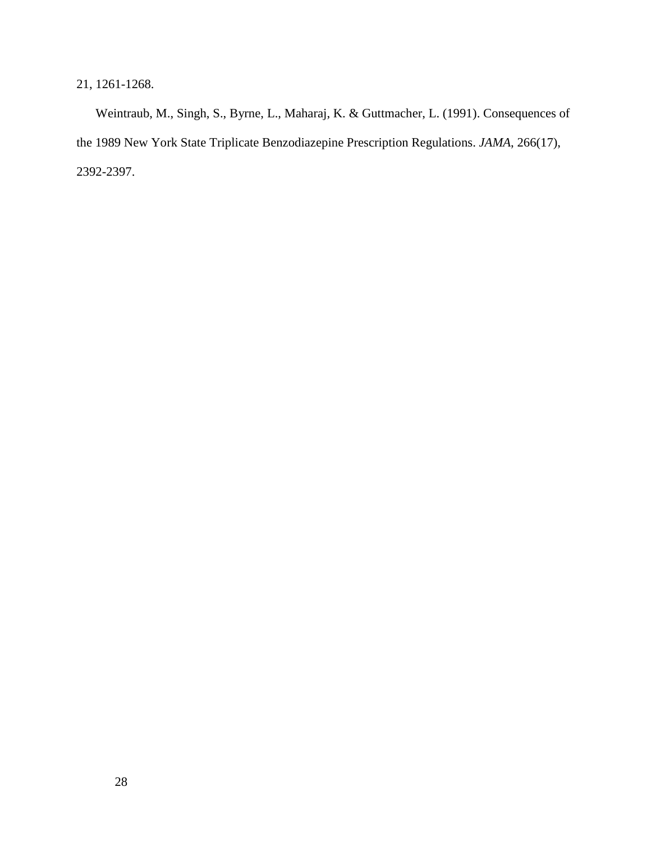21, 1261-1268.

Weintraub, M., Singh, S., Byrne, L., Maharaj, K. & Guttmacher, L. (1991). Consequences of the 1989 New York State Triplicate Benzodiazepine Prescription Regulations. *JAMA*, 266(17), 2392-2397.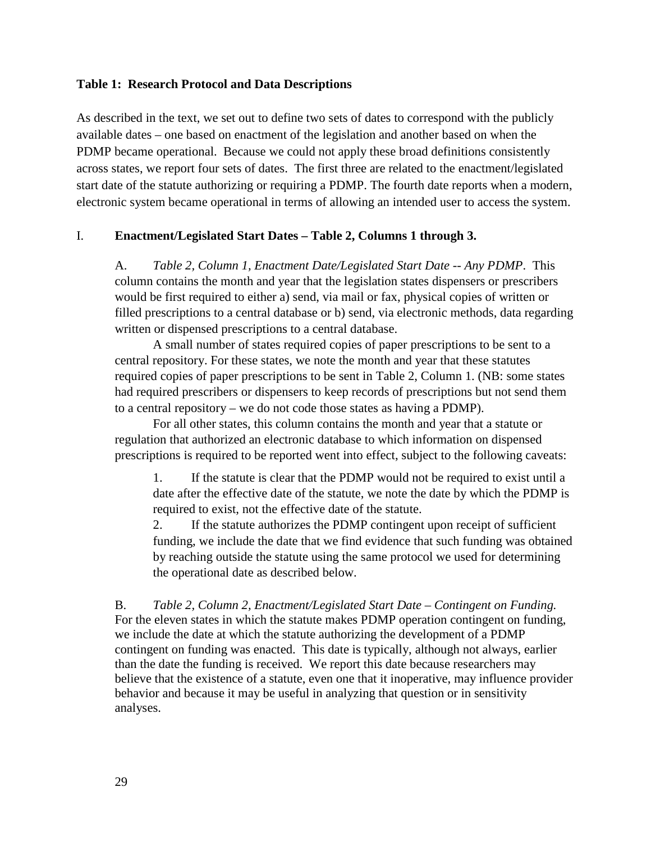# **Table 1: Research Protocol and Data Descriptions**

As described in the text, we set out to define two sets of dates to correspond with the publicly available dates – one based on enactment of the legislation and another based on when the PDMP became operational. Because we could not apply these broad definitions consistently across states, we report four sets of dates. The first three are related to the enactment/legislated start date of the statute authorizing or requiring a PDMP. The fourth date reports when a modern, electronic system became operational in terms of allowing an intended user to access the system.

# I. **Enactment/Legislated Start Dates – Table 2, Columns 1 through 3.**

A. *Table 2, Column 1, Enactment Date/Legislated Start Date -- Any PDMP*. This column contains the month and year that the legislation states dispensers or prescribers would be first required to either a) send, via mail or fax, physical copies of written or filled prescriptions to a central database or b) send, via electronic methods, data regarding written or dispensed prescriptions to a central database.

A small number of states required copies of paper prescriptions to be sent to a central repository. For these states, we note the month and year that these statutes required copies of paper prescriptions to be sent in Table 2, Column 1. (NB: some states had required prescribers or dispensers to keep records of prescriptions but not send them to a central repository – we do not code those states as having a PDMP).

For all other states, this column contains the month and year that a statute or regulation that authorized an electronic database to which information on dispensed prescriptions is required to be reported went into effect, subject to the following caveats:

1. If the statute is clear that the PDMP would not be required to exist until a date after the effective date of the statute, we note the date by which the PDMP is required to exist, not the effective date of the statute.

2. If the statute authorizes the PDMP contingent upon receipt of sufficient funding, we include the date that we find evidence that such funding was obtained by reaching outside the statute using the same protocol we used for determining the operational date as described below.

B. *Table 2, Column 2, Enactment/Legislated Start Date – Contingent on Funding.*  For the eleven states in which the statute makes PDMP operation contingent on funding, we include the date at which the statute authorizing the development of a PDMP contingent on funding was enacted. This date is typically, although not always, earlier than the date the funding is received. We report this date because researchers may believe that the existence of a statute, even one that it inoperative, may influence provider behavior and because it may be useful in analyzing that question or in sensitivity analyses.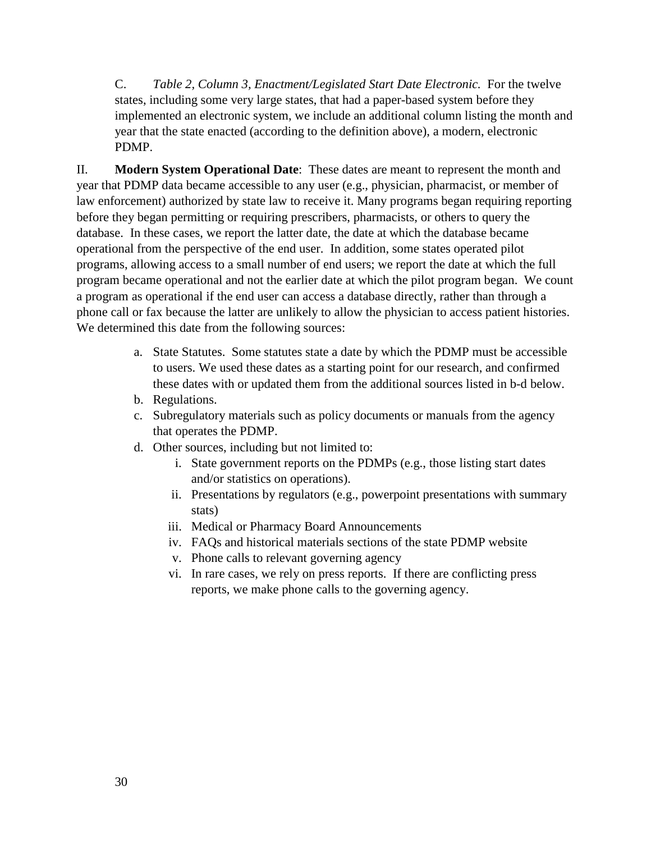C. *Table 2, Column 3, Enactment/Legislated Start Date Electronic.* For the twelve states, including some very large states, that had a paper-based system before they implemented an electronic system, we include an additional column listing the month and year that the state enacted (according to the definition above), a modern, electronic PDMP.

II. **Modern System Operational Date**: These dates are meant to represent the month and year that PDMP data became accessible to any user (e.g., physician, pharmacist, or member of law enforcement) authorized by state law to receive it. Many programs began requiring reporting before they began permitting or requiring prescribers, pharmacists, or others to query the database. In these cases, we report the latter date, the date at which the database became operational from the perspective of the end user. In addition, some states operated pilot programs, allowing access to a small number of end users; we report the date at which the full program became operational and not the earlier date at which the pilot program began. We count a program as operational if the end user can access a database directly, rather than through a phone call or fax because the latter are unlikely to allow the physician to access patient histories. We determined this date from the following sources:

- a. State Statutes. Some statutes state a date by which the PDMP must be accessible to users. We used these dates as a starting point for our research, and confirmed these dates with or updated them from the additional sources listed in b-d below.
- b. Regulations.
- c. Subregulatory materials such as policy documents or manuals from the agency that operates the PDMP.
- d. Other sources, including but not limited to:
	- i. State government reports on the PDMPs (e.g., those listing start dates and/or statistics on operations).
	- ii. Presentations by regulators (e.g., powerpoint presentations with summary stats)
	- iii. Medical or Pharmacy Board Announcements
	- iv. FAQs and historical materials sections of the state PDMP website
	- v. Phone calls to relevant governing agency
	- vi. In rare cases, we rely on press reports. If there are conflicting press reports, we make phone calls to the governing agency.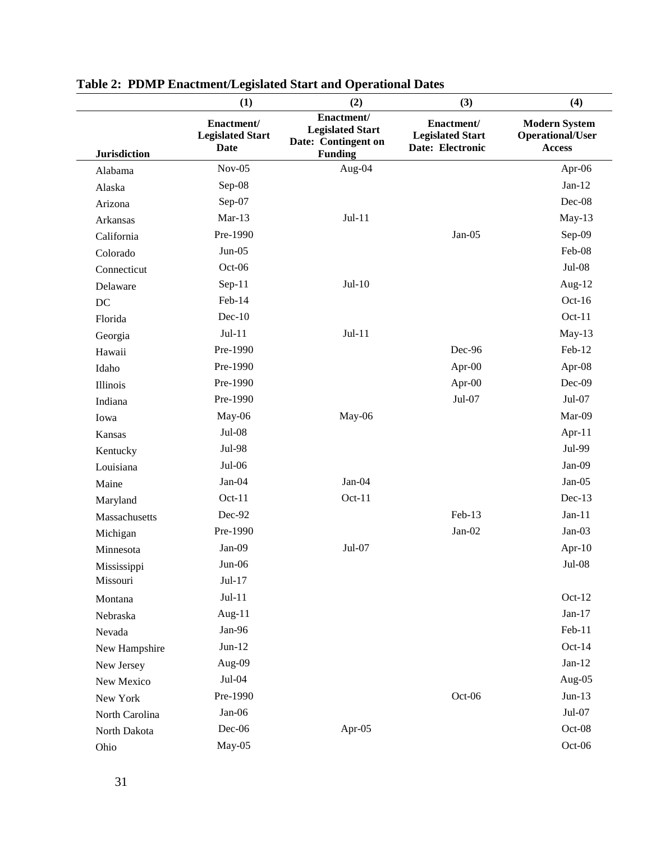|                     | (1)<br>(2)                                    |                                                                                | (3)                                                       | (4)                                                       |
|---------------------|-----------------------------------------------|--------------------------------------------------------------------------------|-----------------------------------------------------------|-----------------------------------------------------------|
| <b>Jurisdiction</b> | Enactment/<br><b>Legislated Start</b><br>Date | Enactment/<br><b>Legislated Start</b><br>Date: Contingent on<br><b>Funding</b> | Enactment/<br><b>Legislated Start</b><br>Date: Electronic | <b>Modern System</b><br><b>Operational/User</b><br>Access |
| Alabama             | $Nov-05$                                      | Aug-04                                                                         |                                                           | Apr-06                                                    |
| Alaska              | Sep-08                                        |                                                                                |                                                           | $Jan-12$                                                  |
| Arizona             | Sep-07                                        |                                                                                |                                                           | Dec-08                                                    |
| Arkansas            | $Mar-13$                                      | $Jul-11$                                                                       |                                                           | May-13                                                    |
| California          | Pre-1990                                      |                                                                                | Jan-05                                                    | Sep-09                                                    |
| Colorado            | $Jun-05$                                      |                                                                                |                                                           | Feb-08                                                    |
| Connecticut         | Oct-06                                        |                                                                                |                                                           | Jul-08                                                    |
| Delaware            | $Sep-11$                                      | $Jul-10$                                                                       |                                                           | Aug-12                                                    |
| DC                  | Feb-14                                        |                                                                                |                                                           | $Oct-16$                                                  |
| Florida             | $Dec-10$                                      |                                                                                |                                                           | $Oct-11$                                                  |
| Georgia             | $Jul-11$                                      | $Jul-11$                                                                       |                                                           | May-13                                                    |
| Hawaii              | Pre-1990                                      |                                                                                | Dec-96                                                    | Feb-12                                                    |
| Idaho               | Pre-1990                                      |                                                                                | Apr- $00$                                                 | Apr-08                                                    |
| Illinois            | Pre-1990                                      |                                                                                | Apr-00                                                    | Dec-09                                                    |
| Indiana             | Pre-1990                                      |                                                                                | Jul-07                                                    | Jul-07                                                    |
| Iowa                | May-06                                        | May-06                                                                         |                                                           | Mar-09                                                    |
| Kansas              | Jul-08                                        |                                                                                |                                                           | Apr-11                                                    |
| Kentucky            | Jul-98                                        |                                                                                |                                                           | Jul-99                                                    |
| Louisiana           | Jul-06                                        |                                                                                |                                                           | Jan-09                                                    |
| Maine               | $Jan-04$                                      | Jan-04                                                                         |                                                           | $Jan-05$                                                  |
| Maryland            | $Oct-11$                                      | Oct-11                                                                         |                                                           | $Dec-13$                                                  |
| Massachusetts       | Dec-92                                        |                                                                                | $Feb-13$                                                  | $Jan-11$                                                  |
| Michigan            | Pre-1990                                      |                                                                                | $Jan-02$                                                  | $Jan-03$                                                  |
| Minnesota           | $Jan-09$                                      | $Jul-07$                                                                       |                                                           | Apr-10                                                    |
| Mississippi         | Jun-06                                        |                                                                                |                                                           | Jul-08                                                    |
| Missouri            | $Jul-17$                                      |                                                                                |                                                           |                                                           |
| Montana             | $Jul-11$                                      |                                                                                |                                                           | $Oct-12$                                                  |
| Nebraska            | Aug-11                                        |                                                                                |                                                           | $Jan-17$                                                  |
| Nevada              | Jan-96                                        |                                                                                |                                                           | Feb-11                                                    |
| New Hampshire       | $Jun-12$                                      |                                                                                |                                                           | $Oct-14$                                                  |
| New Jersey          | Aug-09                                        |                                                                                |                                                           | $Jan-12$                                                  |
| New Mexico          | $Jul-04$                                      |                                                                                |                                                           | Aug-05                                                    |
| New York            | Pre-1990                                      |                                                                                | Oct-06                                                    | $Jun-13$                                                  |
| North Carolina      | Jan-06                                        |                                                                                |                                                           | Jul-07                                                    |
| North Dakota        | Dec-06                                        | Apr-05                                                                         |                                                           | Oct-08                                                    |
| Ohio                | May-05                                        |                                                                                |                                                           | Oct-06                                                    |

|  | Table 2: PDMP Enactment/Legislated Start and Operational Dates |  |  |
|--|----------------------------------------------------------------|--|--|
|  |                                                                |  |  |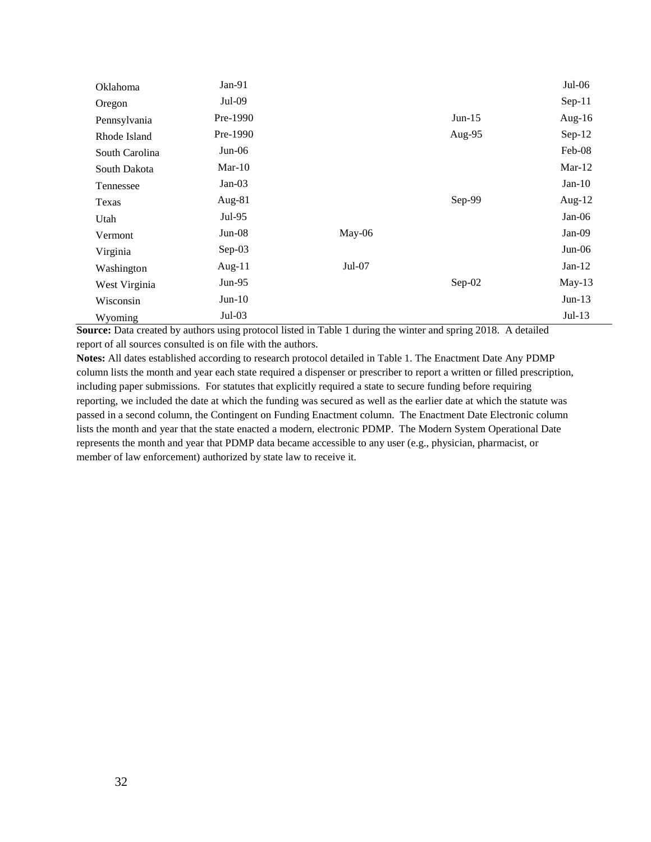| Oklahoma       | $Jan-91$  |        |          | $Jul-06$  |
|----------------|-----------|--------|----------|-----------|
| Oregon         | $Jul-09$  |        |          | $Sep-11$  |
| Pennsylvania   | Pre-1990  |        | $Jun-15$ | Aug- $16$ |
| Rhode Island   | Pre-1990  |        | Aug-95   | $Sep-12$  |
| South Carolina | $Jun-06$  |        |          | Feb-08    |
| South Dakota   | $Mar-10$  |        |          | $Mar-12$  |
| Tennessee      | Jan- $03$ |        |          | $Jan-10$  |
| Texas          | Aug- $81$ |        | Sep-99   | Aug- $12$ |
| Utah           | Jul-95    |        |          | $Jan-06$  |
| Vermont        | $Jun-08$  | May-06 |          | $Jan-09$  |
| Virginia       | $Sep-03$  |        |          | $Jun-06$  |
| Washington     | Aug- $11$ | Jul-07 |          | $Jan-12$  |
| West Virginia  | Jun- $95$ |        | $Sep-02$ | $May-13$  |
| Wisconsin      | $Jun-10$  |        |          | $Jun-13$  |
| Wyoming        | $Jul-03$  |        |          | $Jul-13$  |

**Source:** Data created by authors using protocol listed in Table 1 during the winter and spring 2018. A detailed report of all sources consulted is on file with the authors.

**Notes:** All dates established according to research protocol detailed in Table 1. The Enactment Date Any PDMP column lists the month and year each state required a dispenser or prescriber to report a written or filled prescription, including paper submissions. For statutes that explicitly required a state to secure funding before requiring reporting, we included the date at which the funding was secured as well as the earlier date at which the statute was passed in a second column, the Contingent on Funding Enactment column. The Enactment Date Electronic column lists the month and year that the state enacted a modern, electronic PDMP. The Modern System Operational Date represents the month and year that PDMP data became accessible to any user (e.g., physician, pharmacist, or member of law enforcement) authorized by state law to receive it.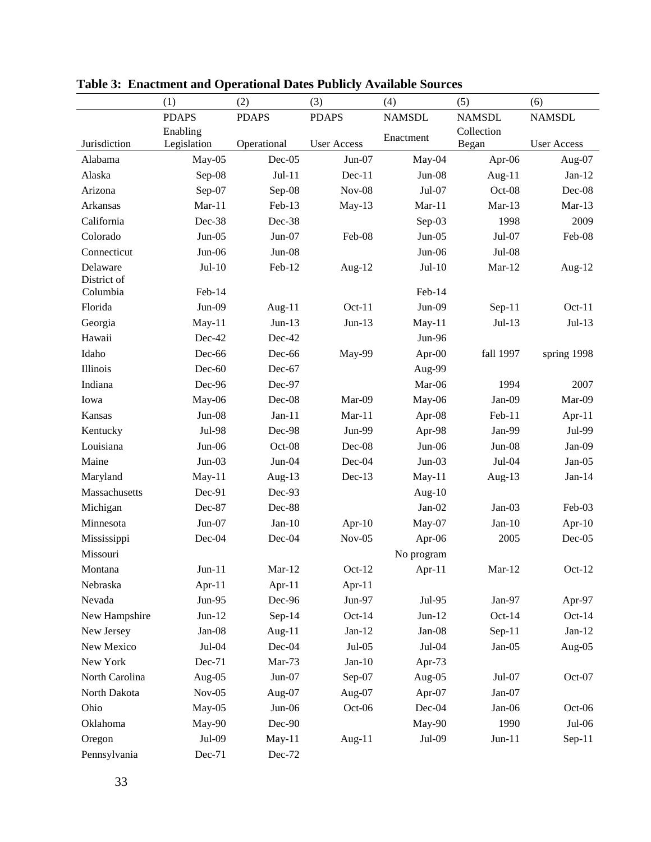|                         | (1)          | (2)          | (3)                | (4)           | (5)           | (6)                |
|-------------------------|--------------|--------------|--------------------|---------------|---------------|--------------------|
|                         | <b>PDAPS</b> | <b>PDAPS</b> | <b>PDAPS</b>       | <b>NAMSDL</b> | <b>NAMSDL</b> | <b>NAMSDL</b>      |
|                         | Enabling     |              |                    | Enactment     | Collection    |                    |
| Jurisdiction            | Legislation  | Operational  | <b>User Access</b> |               | Began         | <b>User Access</b> |
| Alabama                 | May-05       | $Dec-05$     | $Jun-07$           | May-04        | Apr-06        | Aug-07             |
| Alaska                  | Sep-08       | $Jul-11$     | $Dec-11$           | Jun-08        | Aug- $11$     | $Jan-12$           |
| Arizona                 | Sep-07       | Sep-08       | $Nov-08$           | Jul-07        | Oct-08        | Dec-08             |
| Arkansas                | $Mar-11$     | Feb-13       | $May-13$           | $Mar-11$      | $Mar-13$      | $Mar-13$           |
| California              | Dec-38       | Dec-38       |                    | Sep-03        | 1998          | 2009               |
| Colorado                | $Jun-05$     | $Jun-07$     | Feb-08             | $Jun-05$      | Jul-07        | Feb-08             |
| Connecticut             | $Jun-06$     | $Jun-08$     |                    | $Jun-06$      | Jul-08        |                    |
| Delaware                | $Jul-10$     | Feb-12       | Aug- $12$          | $Jul-10$      | $Mar-12$      | Aug- $12$          |
| District of<br>Columbia | Feb-14       |              |                    | Feb-14        |               |                    |
| Florida                 | $Jun-09$     | Aug-11       | $Oct-11$           | $Jun-09$      | $Sep-11$      | $Oct-11$           |
| Georgia                 | $May-11$     | $Jun-13$     | $Jun-13$           | $May-11$      | Jul-13        | $Jul-13$           |
| Hawaii                  | Dec-42       | Dec-42       |                    | Jun-96        |               |                    |
| Idaho                   | Dec-66       | Dec-66       | May-99             | Apr-00        | fall 1997     | spring 1998        |
| Illinois                | Dec-60       | Dec-67       |                    | Aug-99        |               |                    |
| Indiana                 | Dec-96       | Dec-97       |                    | Mar-06        | 1994          | 2007               |
| Iowa                    | May-06       | Dec-08       | Mar-09             | May-06        | Jan-09        | Mar-09             |
| Kansas                  | $Jun-08$     | $Jan-11$     | $Mar-11$           | Apr-08        | Feb-11        | Apr-11             |
| Kentucky                | Jul-98       | Dec-98       | Jun-99             | Apr-98        | Jan-99        | Jul-99             |
| Louisiana               | $Jun-06$     | Oct-08       | Dec-08             | $Jun-06$      | Jun-08        | Jan-09             |
| Maine                   | $Jun-03$     | Jun-04       | Dec-04             | $Jun-03$      | Jul-04        | Jan-05             |
| Maryland                | $May-11$     | Aug- $13$    | Dec-13             | $May-11$      | Aug- $13$     | $Jan-14$           |
| Massachusetts           | Dec-91       | Dec-93       |                    | Aug- $10$     |               |                    |
| Michigan                | Dec-87       | Dec-88       |                    | $Jan-02$      | Jan-03        | Feb-03             |
| Minnesota               | $Jun-07$     | $Jan-10$     | Apr- $10$          | May-07        | $Jan-10$      | Apr- $10$          |
| Mississippi             | Dec-04       | Dec-04       | $Nov-05$           | Apr-06        | 2005          | Dec-05             |
| Missouri                |              |              |                    | No program    |               |                    |
| Montana                 | $Jun-11$     | $Mar-12$     | $Oct-12$           | Apr-11        | $Mar-12$      | $Oct-12$           |
| Nebraska                | Apr-11       | Apr- $11$    | Apr- $11$          |               |               |                    |
| Nevada                  | Jun-95       | Dec-96       | Jun-97             | Jul-95        | Jan-97        | Apr-97             |
| New Hampshire           | $Jun-12$     | $Sep-14$     | $Oct-14$           | $Jun-12$      | $Oct-14$      | $Oct-14$           |
| New Jersey              | Jan-08       | Aug-11       | $Jan-12$           | $Jan-08$      | $Sep-11$      | $Jan-12$           |
| New Mexico              | $Jul-04$     | Dec-04       | $Jul-05$           | Jul-04        | $Jan-05$      | Aug-05             |
| New York                | Dec-71       | Mar-73       | $Jan-10$           | Apr-73        |               |                    |
| North Carolina          | Aug-05       | $Jun-07$     | Sep-07             | Aug-05        | $Jul-07$      | $Oct-07$           |
| North Dakota            | $Nov-05$     | Aug-07       | Aug-07             | Apr-07        | $Jan-07$      |                    |
| Ohio                    | May-05       | $Jun-06$     | Oct-06             | Dec-04        | Jan-06        | Oct-06             |
| Oklahoma                | May-90       | Dec-90       |                    | May-90        | 1990          | Jul-06             |
| Oregon                  | Jul-09       | $May-11$     | Aug-11             | Jul-09        | $Jun-11$      | $Sep-11$           |
| Pennsylvania            | Dec-71       | Dec-72       |                    |               |               |                    |

**Table 3: Enactment and Operational Dates Publicly Available Sources**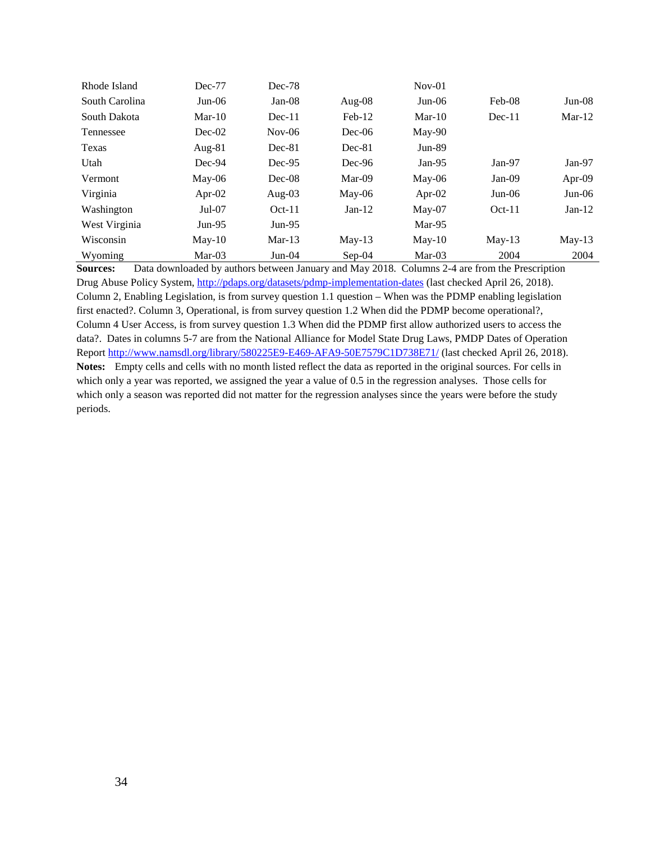| Rhode Island   | Dec-77    | $Dec-78$  |           | $Nov-01$ |          |          |
|----------------|-----------|-----------|-----------|----------|----------|----------|
| South Carolina | $Jun-06$  | $Jan-08$  | Aug- $08$ | $Jun-06$ | $Feb-08$ | $Jun-08$ |
| South Dakota   | $Mar-10$  | $Dec-11$  | $Feb-12$  | $Mar-10$ | $Dec-11$ | $Mar-12$ |
| Tennessee      | $Dec-02$  | $Nov-06$  | $Dec-06$  | May-90   |          |          |
| Texas          | Aug- $81$ | $Dec-81$  | $Dec-81$  | $Jun-89$ |          |          |
| Utah           | $Dec-94$  | $Dec-95$  | $Dec-96$  | $Jan-95$ | $Jan-97$ | $Jan-97$ |
| Vermont        | $Mav-06$  | $Dec-08$  | $Mar-09$  | $Mav-06$ | $Jan-09$ | Apr-09   |
| Virginia       | Apr-02    | Aug- $03$ | $M$ ay-06 | Apr-02   | $Jun-06$ | $Jun-06$ |
| Washington     | $Jul-07$  | $Oct-11$  | $Jan-12$  | $Mav-07$ | $Oct-11$ | $Jan-12$ |
| West Virginia  | $Jun-95$  | Jun- $95$ |           | Mar-95   |          |          |
| Wisconsin      | $Mav-10$  | $Mar-13$  | $Mav-13$  | $Mav-10$ | $Mav-13$ | $Mav-13$ |
| Wyoming        | $Mar-03$  | Jun- $04$ | $Sep-04$  | $Mar-03$ | 2004     | 2004     |

**Sources:** Data downloaded by authors between January and May 2018. Columns 2-4 are from the Prescription Drug Abuse Policy System,<http://pdaps.org/datasets/pdmp-implementation-dates> (last checked April 26, 2018). Column 2, Enabling Legislation, is from survey question 1.1 question – When was the PDMP enabling legislation first enacted?. Column 3, Operational, is from survey question 1.2 When did the PDMP become operational?, Column 4 User Access, is from survey question 1.3 When did the PDMP first allow authorized users to access the data?. Dates in columns 5-7 are from the National Alliance for Model State Drug Laws, PMDP Dates of Operation Repor[t http://www.namsdl.org/library/580225E9-E469-AFA9-50E7579C1D738E71/](http://www.namsdl.org/library/580225E9-E469-AFA9-50E7579C1D738E71/) (last checked April 26, 2018). **Notes:** Empty cells and cells with no month listed reflect the data as reported in the original sources. For cells in which only a year was reported, we assigned the year a value of 0.5 in the regression analyses. Those cells for which only a season was reported did not matter for the regression analyses since the years were before the study periods.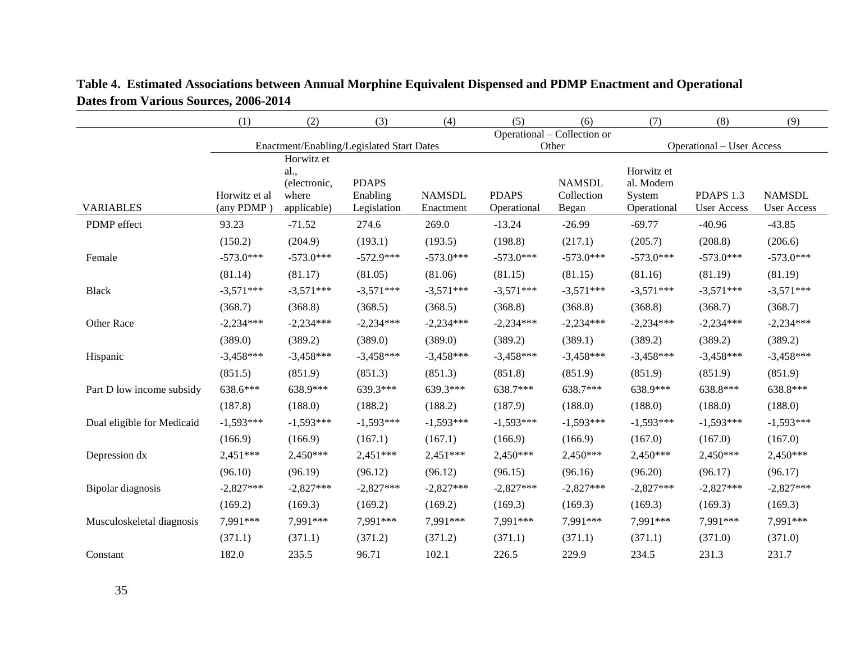|                            | (1)                         | (2)                                                        | (3)                                       | (4)                        | (5)                         | (6)                                  | (7)                                               | (8)                             | (9)                                 |  |
|----------------------------|-----------------------------|------------------------------------------------------------|-------------------------------------------|----------------------------|-----------------------------|--------------------------------------|---------------------------------------------------|---------------------------------|-------------------------------------|--|
|                            |                             |                                                            |                                           |                            |                             | Operational - Collection or          | <b>Operational – User Access</b>                  |                                 |                                     |  |
|                            |                             |                                                            | Enactment/Enabling/Legislated Start Dates |                            |                             | Other                                |                                                   |                                 |                                     |  |
| <b>VARIABLES</b>           | Horwitz et al<br>(any PDMP) | Horwitz et<br>al.,<br>(electronic,<br>where<br>applicable) | <b>PDAPS</b><br>Enabling<br>Legislation   | <b>NAMSDL</b><br>Enactment | <b>PDAPS</b><br>Operational | <b>NAMSDL</b><br>Collection<br>Began | Horwitz et<br>al. Modern<br>System<br>Operational | PDAPS 1.3<br><b>User Access</b> | <b>NAMSDL</b><br><b>User Access</b> |  |
| PDMP effect                | 93.23                       | $-71.52$                                                   | 274.6                                     | 269.0                      | $-13.24$                    | $-26.99$                             | $-69.77$                                          | $-40.96$                        | $-43.85$                            |  |
|                            | (150.2)                     | (204.9)                                                    | (193.1)                                   | (193.5)                    | (198.8)                     | (217.1)                              | (205.7)                                           | (208.8)                         | (206.6)                             |  |
| Female                     | $-573.0***$                 | $-573.0***$                                                | $-572.9***$                               | $-573.0***$                | $-573.0***$                 | $-573.0***$                          | $-573.0***$                                       | $-573.0***$                     | $-573.0***$                         |  |
|                            | (81.14)                     | (81.17)                                                    | (81.05)                                   | (81.06)                    | (81.15)                     | (81.15)                              | (81.16)                                           | (81.19)                         | (81.19)                             |  |
| <b>Black</b>               | $-3,571***$                 | $-3,571***$                                                | $-3,571***$                               | $-3,571***$                | $-3,571***$                 | $-3,571***$                          | $-3,571***$                                       | $-3,571***$                     | $-3,571***$                         |  |
|                            | (368.7)                     | (368.8)                                                    | (368.5)                                   | (368.5)                    | (368.8)                     | (368.8)                              | (368.8)                                           | (368.7)                         | (368.7)                             |  |
| Other Race                 | $-2,234***$                 | $-2,234***$                                                | $-2,234***$                               | $-2,234***$                | $-2,234***$                 | $-2,234***$                          | $-2,234***$                                       | $-2,234***$                     | $-2,234***$                         |  |
|                            | (389.0)                     | (389.2)                                                    | (389.0)                                   | (389.0)                    | (389.2)                     | (389.1)                              | (389.2)                                           | (389.2)                         | (389.2)                             |  |
| Hispanic                   | $-3,458***$                 | $-3,458***$                                                | $-3,458***$                               | $-3,458***$                | $-3,458***$                 | $-3,458***$                          | $-3,458***$                                       | $-3,458***$                     | $-3,458***$                         |  |
|                            | (851.5)                     | (851.9)                                                    | (851.3)                                   | (851.3)                    | (851.8)                     | (851.9)                              | (851.9)                                           | (851.9)                         | (851.9)                             |  |
| Part D low income subsidy  | 638.6***                    | 638.9***                                                   | 639.3***                                  | 639.3***                   | 638.7***                    | 638.7***                             | 638.9***                                          | 638.8***                        | 638.8***                            |  |
|                            | (187.8)                     | (188.0)                                                    | (188.2)                                   | (188.2)                    | (187.9)                     | (188.0)                              | (188.0)                                           | (188.0)                         | (188.0)                             |  |
| Dual eligible for Medicaid | $-1,593***$                 | $-1,593***$                                                | $-1,593***$                               | $-1,593***$                | $-1,593***$                 | $-1,593***$                          | $-1,593***$                                       | $-1,593***$                     | $-1,593***$                         |  |
|                            | (166.9)                     | (166.9)                                                    | (167.1)                                   | (167.1)                    | (166.9)                     | (166.9)                              | (167.0)                                           | (167.0)                         | (167.0)                             |  |
| Depression dx              | $2,451***$                  | $2,450***$                                                 | $2,451***$                                | $2,451***$                 | $2,450***$                  | $2,450***$                           | $2,450***$                                        | $2,450***$                      | $2,450***$                          |  |
|                            | (96.10)                     | (96.19)                                                    | (96.12)                                   | (96.12)                    | (96.15)                     | (96.16)                              | (96.20)                                           | (96.17)                         | (96.17)                             |  |
| Bipolar diagnosis          | $-2,827***$                 | $-2,827***$                                                | $-2,827***$                               | $-2,827***$                | $-2,827***$                 | $-2,827***$                          | $-2,827***$                                       | $-2,827***$                     | $-2,827***$                         |  |
|                            | (169.2)                     | (169.3)                                                    | (169.2)                                   | (169.2)                    | (169.3)                     | (169.3)                              | (169.3)                                           | (169.3)                         | (169.3)                             |  |
| Musculoskeletal diagnosis  | 7,991***                    | 7,991***                                                   | 7,991***                                  | 7,991***                   | 7,991***                    | 7,991***                             | 7,991***                                          | 7,991***                        | 7,991***                            |  |
|                            | (371.1)                     | (371.1)                                                    | (371.2)                                   | (371.2)                    | (371.1)                     | (371.1)                              | (371.1)                                           | (371.0)                         | (371.0)                             |  |
| Constant                   | 182.0                       | 235.5                                                      | 96.71                                     | 102.1                      | 226.5                       | 229.9                                | 234.5                                             | 231.3                           | 231.7                               |  |

# **Table 4. Estimated Associations between Annual Morphine Equivalent Dispensed and PDMP Enactment and Operational Dates from Various Sources, 2006-2014**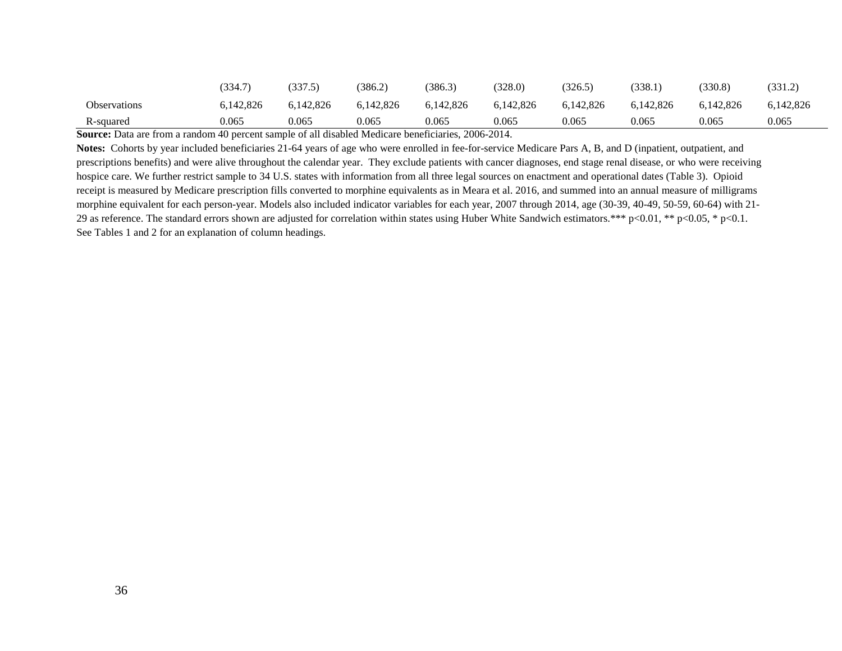|                     | (334.7)   | (337.5)  | (386.2)   | (386.3)   | (328.0)   | (326.5)   | (338.1)   | (330.8)   | (331.2)   |
|---------------------|-----------|----------|-----------|-----------|-----------|-----------|-----------|-----------|-----------|
| <b>Observations</b> | 6.142.826 | ,142,826 | 6,142,826 | 6,142,826 | 6.142.826 | 6.142.826 | 6.142.826 | 6.142.826 | 6,142,826 |
| R-squared           | 0.065     | 0.065    | 0.065     | 0.065     | 0.065     | 0.065     | 0.065     | 0.065     | 0.065     |

**Source:** Data are from a random 40 percent sample of all disabled Medicare beneficiaries, 2006-2014.

**Notes:** Cohorts by year included beneficiaries 21-64 years of age who were enrolled in fee-for-service Medicare Pars A, B, and D (inpatient, outpatient, and prescriptions benefits) and were alive throughout the calendar year. They exclude patients with cancer diagnoses, end stage renal disease, or who were receiving hospice care. We further restrict sample to 34 U.S. states with information from all three legal sources on enactment and operational dates (Table 3). Opioid receipt is measured by Medicare prescription fills converted to morphine equivalents as in Meara et al. 2016, and summed into an annual measure of milligrams morphine equivalent for each person-year. Models also included indicator variables for each year, 2007 through 2014, age (30-39, 40-49, 50-59, 60-64) with 21- 29 as reference. The standard errors shown are adjusted for correlation within states using Huber White Sandwich estimators.\*\*\* p<0.01, \*\* p<0.05, \* p<0.1. See Tables 1 and 2 for an explanation of column headings.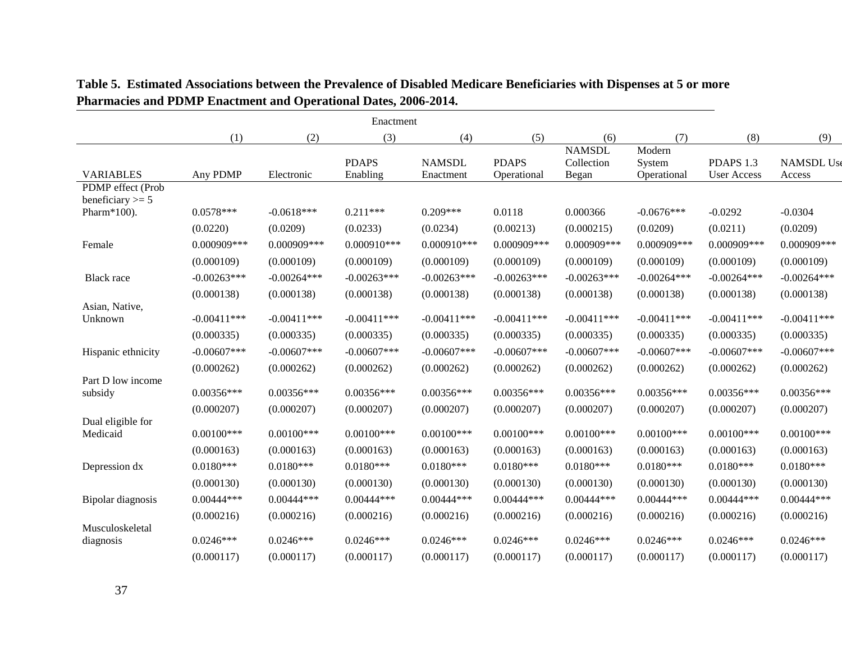| Enactment                         |                |                |                          |                            |                             |                                      |                                 |                                 |                      |
|-----------------------------------|----------------|----------------|--------------------------|----------------------------|-----------------------------|--------------------------------------|---------------------------------|---------------------------------|----------------------|
|                                   | (1)            | (2)            | (3)                      | (4)                        | (5)                         | (6)                                  | (7)                             | (8)                             | (9)                  |
| <b>VARIABLES</b>                  | Any PDMP       | Electronic     | <b>PDAPS</b><br>Enabling | <b>NAMSDL</b><br>Enactment | <b>PDAPS</b><br>Operational | <b>NAMSDL</b><br>Collection<br>Began | Modern<br>System<br>Operational | PDAPS 1.3<br><b>User Access</b> | NAMSDL Use<br>Access |
| PDMP effect (Prob                 |                |                |                          |                            |                             |                                      |                                 |                                 |                      |
| beneficiary $>= 5$<br>Pharm*100). | $0.0578***$    | $-0.0618***$   | $0.211***$               | $0.209***$                 | 0.0118                      | 0.000366                             | $-0.0676***$                    | $-0.0292$                       | $-0.0304$            |
|                                   | (0.0220)       | (0.0209)       | (0.0233)                 | (0.0234)                   | (0.00213)                   | (0.000215)                           | (0.0209)                        | (0.0211)                        | (0.0209)             |
| Female                            | 0.000909***    | 0.000909***    | $0.000910***$            | $0.000910***$              | 0.000909***                 | 0.000909***                          | 0.000909***                     | 0.000909***                     | 0.000909***          |
|                                   | (0.000109)     | (0.000109)     | (0.000109)               | (0.000109)                 | (0.000109)                  | (0.000109)                           | (0.000109)                      | (0.000109)                      | (0.000109)           |
| <b>Black</b> race                 | $-0.00263***$  | $-0.00264***$  | $-0.00263***$            | $-0.00263***$              | $-0.00263***$               | $-0.00263***$                        | $-0.00264***$                   | $-0.00264***$                   | $-0.00264***$        |
|                                   | (0.000138)     | (0.000138)     | (0.000138)               | (0.000138)                 | (0.000138)                  | (0.000138)                           | (0.000138)                      | (0.000138)                      | (0.000138)           |
| Asian, Native,<br>Unknown         | $-0.00411***$  | $-0.00411***$  | $-0.00411***$            | $-0.00411***$              | $-0.00411***$               | $-0.00411***$                        | $-0.00411***$                   | $-0.00411***$                   | $-0.00411***$        |
|                                   | (0.000335)     | (0.000335)     | (0.000335)               | (0.000335)                 | (0.000335)                  | (0.000335)                           | (0.000335)                      | (0.000335)                      | (0.000335)           |
| Hispanic ethnicity                | $-0.00607$ *** | $-0.00607$ *** | $-0.00607***$            | $-0.00607***$              | $-0.00607$ ***              | $-0.00607$ ***                       | $-0.00607$ ***                  | $-0.00607***$                   | $-0.00607***$        |
|                                   | (0.000262)     | (0.000262)     | (0.000262)               | (0.000262)                 | (0.000262)                  | (0.000262)                           | (0.000262)                      | (0.000262)                      | (0.000262)           |
| Part D low income<br>subsidy      | $0.00356***$   | $0.00356***$   | $0.00356***$             | $0.00356***$               | $0.00356***$                | $0.00356***$                         | $0.00356***$                    | $0.00356***$                    | $0.00356***$         |
|                                   | (0.000207)     | (0.000207)     | (0.000207)               | (0.000207)                 | (0.000207)                  | (0.000207)                           | (0.000207)                      | (0.000207)                      | (0.000207)           |
| Dual eligible for<br>Medicaid     | $0.00100***$   | $0.00100***$   | $0.00100$ ***            | $0.00100***$               | $0.00100***$                | $0.00100***$                         | $0.00100***$                    | $0.00100***$                    | $0.00100$ ***        |
|                                   | (0.000163)     | (0.000163)     | (0.000163)               | (0.000163)                 | (0.000163)                  | (0.000163)                           | (0.000163)                      | (0.000163)                      | (0.000163)           |
| Depression dx                     | $0.0180***$    | $0.0180***$    | $0.0180***$              | $0.0180***$                | $0.0180***$                 | $0.0180***$                          | $0.0180***$                     | $0.0180***$                     | $0.0180***$          |
|                                   | (0.000130)     | (0.000130)     | (0.000130)               | (0.000130)                 | (0.000130)                  | (0.000130)                           | (0.000130)                      | (0.000130)                      | (0.000130)           |
| Bipolar diagnosis                 | $0.00444***$   | $0.00444***$   | $0.00444***$             | $0.00444***$               | $0.00444***$                | $0.00444***$                         | $0.00444***$                    | $0.00444***$                    | $0.00444***$         |
|                                   | (0.000216)     | (0.000216)     | (0.000216)               | (0.000216)                 | (0.000216)                  | (0.000216)                           | (0.000216)                      | (0.000216)                      | (0.000216)           |
| Musculoskeletal<br>diagnosis      | $0.0246***$    | $0.0246***$    | $0.0246***$              | $0.0246***$                | $0.0246***$                 | $0.0246***$                          | $0.0246***$                     | $0.0246***$                     | $0.0246***$          |
|                                   | (0.000117)     | (0.000117)     | (0.000117)               | (0.000117)                 | (0.000117)                  | (0.000117)                           | (0.000117)                      | (0.000117)                      | (0.000117)           |

# **Table 5. Estimated Associations between the Prevalence of Disabled Medicare Beneficiaries with Dispenses at 5 or more Pharmacies and PDMP Enactment and Operational Dates, 2006-2014.**